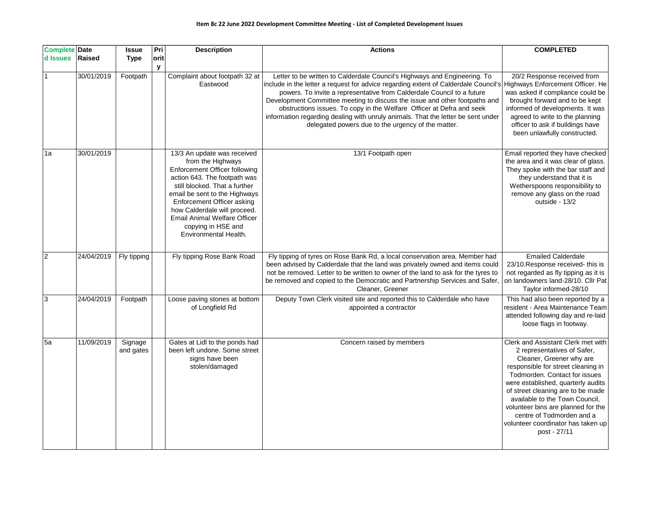## **Item 8c 22 June 2022 Development Committee Meeting - List of Completed Development Issues**

| <b>Complete Date</b><br>d Issues | <b>Raised</b> | <b>Issue</b><br><b>Type</b> | Pri<br>orit | <b>Description</b>                                                                                                                                                                                                                                                                                                                             | <b>Actions</b>                                                                                                                                                                                                                                                                                                                                                                                                                                                                                                                                                               | <b>COMPLETED</b>                                                                                                                                                                                                                                                                                                                                                                                           |
|----------------------------------|---------------|-----------------------------|-------------|------------------------------------------------------------------------------------------------------------------------------------------------------------------------------------------------------------------------------------------------------------------------------------------------------------------------------------------------|------------------------------------------------------------------------------------------------------------------------------------------------------------------------------------------------------------------------------------------------------------------------------------------------------------------------------------------------------------------------------------------------------------------------------------------------------------------------------------------------------------------------------------------------------------------------------|------------------------------------------------------------------------------------------------------------------------------------------------------------------------------------------------------------------------------------------------------------------------------------------------------------------------------------------------------------------------------------------------------------|
|                                  | 30/01/2019    | Footpath                    | У           | Complaint about footpath 32 at<br>Eastwood                                                                                                                                                                                                                                                                                                     | Letter to be written to Calderdale Council's Highways and Engineering. To<br>include in the letter a request for advice regarding extent of Calderdale Council's Highways Enforcement Officer. He<br>powers. To invite a representative from Calderdale Council to a future<br>Development Committee meeting to discuss the issue and other footpaths and<br>obstructions issues. To copy in the Welfare Officer at Defra and seek<br>information regarding dealing with unruly animals. That the letter be sent under<br>delegated powers due to the urgency of the matter. | 20/2 Response received from<br>was asked if compliance could be<br>brought forward and to be kept<br>informed of developments. It was<br>agreed to write to the planning<br>officer to ask if buildings have<br>been unlawfully constructed.                                                                                                                                                               |
| 1a                               | 30/01/2019    |                             |             | 13/3 An update was received<br>from the Highways<br><b>Enforcement Officer following</b><br>action 643. The footpath was<br>still blocked. That a further<br>email be sent to the Highways<br>Enforcement Officer asking<br>how Calderdale will proceed.<br><b>Email Animal Welfare Officer</b><br>copying in HSE and<br>Environmental Health. | 13/1 Footpath open                                                                                                                                                                                                                                                                                                                                                                                                                                                                                                                                                           | Email reported they have checked<br>the area and it was clear of glass.<br>They spoke with the bar staff and<br>they understand that it is<br>Wetherspoons responsibility to<br>remove any glass on the road<br>outside - 13/2                                                                                                                                                                             |
| $\overline{c}$                   | 24/04/2019    | Fly tipping                 |             | Fly tipping Rose Bank Road                                                                                                                                                                                                                                                                                                                     | Fly tipping of tyres on Rose Bank Rd, a local conservation area. Member had<br>been advised by Calderdale that the land was privately owned and items could<br>not be removed. Letter to be written to owner of the land to ask for the tyres to<br>be removed and copied to the Democratic and Partnership Services and Safer,<br>Cleaner, Greener                                                                                                                                                                                                                          | <b>Emailed Calderdale</b><br>23/10. Response received-this is<br>not regarded as fly tipping as it is<br>on landowners land-28/10. Cllr Pat<br>Taylor informed-28/10                                                                                                                                                                                                                                       |
| 3                                | 24/04/2019    | Footpath                    |             | Loose paving stones at bottom<br>of Longfield Rd                                                                                                                                                                                                                                                                                               | Deputy Town Clerk visited site and reported this to Calderdale who have<br>appointed a contractor                                                                                                                                                                                                                                                                                                                                                                                                                                                                            | This had also been reported by a<br>resident - Area Maintenance Team<br>attended following day and re-laid<br>loose flags in footway.                                                                                                                                                                                                                                                                      |
| 5a                               | 11/09/2019    | Signage<br>and gates        |             | Gates at Lidl to the ponds had<br>been left undone. Some street<br>signs have been<br>stolen/damaged                                                                                                                                                                                                                                           | Concern raised by members                                                                                                                                                                                                                                                                                                                                                                                                                                                                                                                                                    | Clerk and Assistant Clerk met with<br>2 representatives of Safer,<br>Cleaner, Greener why are<br>responsible for street cleaning in<br>Todmorden. Contact for issues<br>were established, quarterly audits<br>of street cleaning are to be made<br>available to the Town Council,<br>volunteer bins are planned for the<br>centre of Todmorden and a<br>volunteer coordinator has taken up<br>post - 27/11 |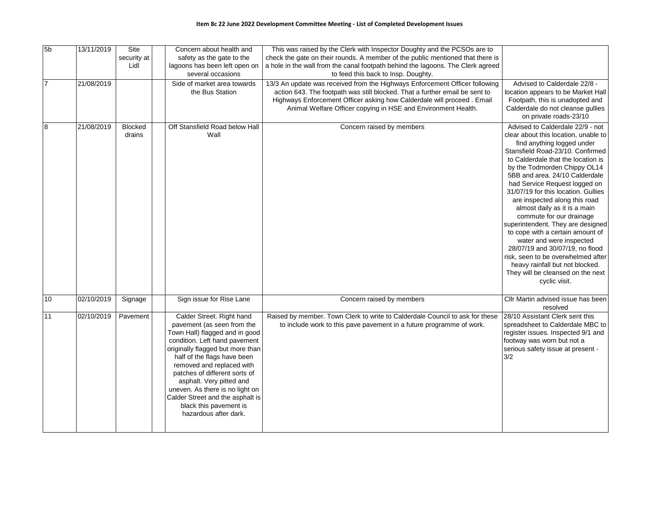| 5 <sub>b</sub> | 13/11/2019 | Site<br>security at<br>Lidl | Concern about health and<br>safety as the gate to the<br>lagoons has been left open on<br>several occasions                                                                                                                                                                                                                                                                                                       | This was raised by the Clerk with Inspector Doughty and the PCSOs are to<br>check the gate on their rounds. A member of the public mentioned that there is<br>a hole in the wall from the canal footpath behind the lagoons. The Clerk agreed<br>to feed this back to Insp. Doughty.                  |                                                                                                                                                                                                                                                                                                                                                                                                                                                                                                                                                                                                                                                                                                |
|----------------|------------|-----------------------------|-------------------------------------------------------------------------------------------------------------------------------------------------------------------------------------------------------------------------------------------------------------------------------------------------------------------------------------------------------------------------------------------------------------------|-------------------------------------------------------------------------------------------------------------------------------------------------------------------------------------------------------------------------------------------------------------------------------------------------------|------------------------------------------------------------------------------------------------------------------------------------------------------------------------------------------------------------------------------------------------------------------------------------------------------------------------------------------------------------------------------------------------------------------------------------------------------------------------------------------------------------------------------------------------------------------------------------------------------------------------------------------------------------------------------------------------|
| $\overline{7}$ | 21/08/2019 |                             | Side of market area towards<br>the Bus Station                                                                                                                                                                                                                                                                                                                                                                    | 13/3 An update was received from the Highways Enforcement Officer following<br>action 643. The footpath was still blocked. That a further email be sent to<br>Highways Enforcement Officer asking how Calderdale will proceed. Email<br>Animal Welfare Officer copying in HSE and Environment Health. | Advised to Calderdale 22/8 -<br>location appears to be Market Hall<br>Footpath, this is unadopted and<br>Calderdale do not cleanse gullies<br>on private roads-23/10                                                                                                                                                                                                                                                                                                                                                                                                                                                                                                                           |
| 8              | 21/08/2019 | <b>Blocked</b><br>drains    | Off Stansfield Road below Hall<br>Wall                                                                                                                                                                                                                                                                                                                                                                            | Concern raised by members                                                                                                                                                                                                                                                                             | Advised to Calderdale 22/9 - not<br>clear about this location, unable to<br>find anything logged under<br>Stansfield Road-23/10. Confirmed<br>to Calderdale that the location is<br>by the Todmorden Chippy OL14<br>5BB and area. 24/10 Calderdale<br>had Service Request logged on<br>31/07/19 for this location. Gullies<br>are inspected along this road<br>almost daily as it is a main<br>commute for our drainage<br>superintendent. They are designed<br>to cope with a certain amount of<br>water and were inspected<br>28/07/19 and 30/07/19, no flood<br>risk, seen to be overwhelmed after<br>heavy rainfall but not blocked.<br>They will be cleansed on the next<br>cyclic visit. |
| 10             | 02/10/2019 | Signage                     | Sign issue for Rise Lane                                                                                                                                                                                                                                                                                                                                                                                          | Concern raised by members                                                                                                                                                                                                                                                                             | Cllr Martin advised issue has been<br>resolved                                                                                                                                                                                                                                                                                                                                                                                                                                                                                                                                                                                                                                                 |
| 11             | 02/10/2019 | Pavement                    | Calder Street. Right hand<br>pavement (as seen from the<br>Town Hall) flagged and in good<br>condition. Left hand pavement<br>originally flagged but more than<br>half of the flags have been<br>removed and replaced with<br>patches of different sorts of<br>asphalt. Very pitted and<br>uneven. As there is no light on<br>Calder Street and the asphalt is<br>black this pavement is<br>hazardous after dark. | Raised by member. Town Clerk to write to Calderdale Council to ask for these<br>to include work to this pave pavement in a future programme of work.                                                                                                                                                  | 28/10 Assistant Clerk sent this<br>spreadsheet to Calderdale MBC to<br>register issues. Inspected 9/1 and<br>footway was worn but not a<br>serious safety issue at present -<br>3/2                                                                                                                                                                                                                                                                                                                                                                                                                                                                                                            |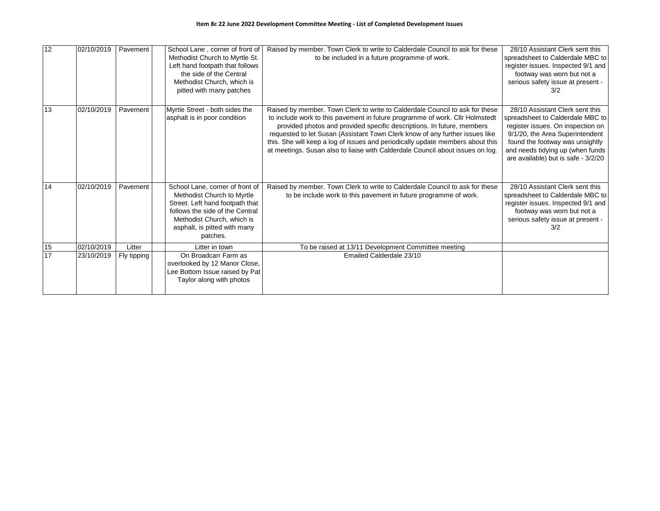| 12 | 02/10/2019 | Pavement    | School Lane, corner of front of<br>Methodist Church to Myrtle St.<br>Left hand footpath that follows<br>the side of the Central<br>Methodist Church, which is<br>pitted with many patches                     | Raised by member. Town Clerk to write to Calderdale Council to ask for these<br>to be included in a future programme of work.                                                                                                                                                                                                                                                                                                                                                              | 28/10 Assistant Clerk sent this<br>spreadsheet to Calderdale MBC to<br>register issues. Inspected 9/1 and<br>footway was worn but not a<br>serious safety issue at present -<br>3/2                                                                       |
|----|------------|-------------|---------------------------------------------------------------------------------------------------------------------------------------------------------------------------------------------------------------|--------------------------------------------------------------------------------------------------------------------------------------------------------------------------------------------------------------------------------------------------------------------------------------------------------------------------------------------------------------------------------------------------------------------------------------------------------------------------------------------|-----------------------------------------------------------------------------------------------------------------------------------------------------------------------------------------------------------------------------------------------------------|
| 13 | 02/10/2019 | Pavement    | Myrtle Street - both sides the<br>asphalt is in poor condition                                                                                                                                                | Raised by member. Town Clerk to write to Calderdale Council to ask for these<br>to include work to this pavement in future programme of work. Cllr Holmstedt<br>provided photos and provided specific descriptions. In future, members<br>requested to let Susan (Assistant Town Clerk know of any further issues like<br>this. She will keep a log of issues and periodically update members about this<br>at meetings. Susan also to liaise with Calderdale Council about issues on log. | 28/10 Assistant Clerk sent this<br>spreadsheet to Calderdale MBC to<br>register issues. On inspection on<br>9/1/20, the Area Superintendent<br>found the footway was unsightly<br>and needs tidying up (when funds<br>are available) but is safe - 3/2/20 |
| 14 | 02/10/2019 | Pavement    | School Lane, corner of front of<br>Methodist Church to Myrtle<br>Street. Left hand footpath that<br>follows the side of the Central<br>Methodist Church, which is<br>asphalt, is pitted with many<br>patches. | Raised by member. Town Clerk to write to Calderdale Council to ask for these<br>to be include work to this pavement in future programme of work.                                                                                                                                                                                                                                                                                                                                           | 28/10 Assistant Clerk sent this<br>spreadsheet to Calderdale MBC to<br>register issues. Inspected 9/1 and<br>footway was worn but not a<br>serious safety issue at present -<br>3/2                                                                       |
| 15 | 02/10/2019 | Litter      | Litter in town                                                                                                                                                                                                | To be raised at 13/11 Development Committee meeting                                                                                                                                                                                                                                                                                                                                                                                                                                        |                                                                                                                                                                                                                                                           |
| 17 | 23/10/2019 | Fly tipping | On Broadcarr Farm as<br>overlooked by 12 Manor Close,<br>Lee Bottom Issue raised by Pat<br>Taylor along with photos                                                                                           | Emailed Calderdale 23/10                                                                                                                                                                                                                                                                                                                                                                                                                                                                   |                                                                                                                                                                                                                                                           |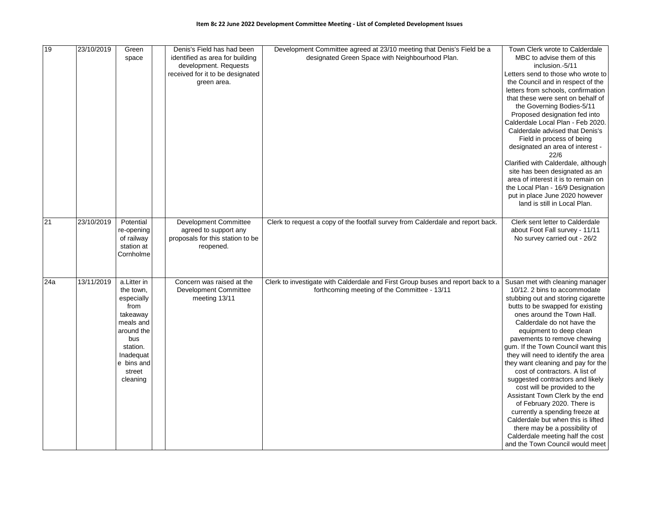| 19  | 23/10/2019 | Green<br>space                                                                                                                                            | Denis's Field has had been<br>identified as area for building<br>development. Requests          | Development Committee agreed at 23/10 meeting that Denis's Field be a<br>designated Green Space with Neighbourhood Plan.        | Town Clerk wrote to Calderdale<br>MBC to advise them of this<br>inclusion. 5/11                                                                                                                                                                                                                                                                                                                                                                                                                                                                                                                                                                                                                                                           |
|-----|------------|-----------------------------------------------------------------------------------------------------------------------------------------------------------|-------------------------------------------------------------------------------------------------|---------------------------------------------------------------------------------------------------------------------------------|-------------------------------------------------------------------------------------------------------------------------------------------------------------------------------------------------------------------------------------------------------------------------------------------------------------------------------------------------------------------------------------------------------------------------------------------------------------------------------------------------------------------------------------------------------------------------------------------------------------------------------------------------------------------------------------------------------------------------------------------|
|     |            |                                                                                                                                                           | received for it to be designated<br>green area.                                                 |                                                                                                                                 | Letters send to those who wrote to<br>the Council and in respect of the<br>letters from schools, confirmation<br>that these were sent on behalf of<br>the Governing Bodies-5/11<br>Proposed designation fed into<br>Calderdale Local Plan - Feb 2020.<br>Calderdale advised that Denis's<br>Field in process of being<br>designated an area of interest -<br>22/6<br>Clarified with Calderdale, although<br>site has been designated as an<br>area of interest it is to remain on<br>the Local Plan - 16/9 Designation<br>put in place June 2020 however<br>land is still in Local Plan.                                                                                                                                                  |
| 21  | 23/10/2019 | Potential<br>re-opening<br>of railway<br>station at<br>Cornholme                                                                                          | Development Committee<br>agreed to support any<br>proposals for this station to be<br>reopened. | Clerk to request a copy of the footfall survey from Calderdale and report back.                                                 | Clerk sent letter to Calderdale<br>about Foot Fall survey - 11/11<br>No survey carried out - 26/2                                                                                                                                                                                                                                                                                                                                                                                                                                                                                                                                                                                                                                         |
| 24a | 13/11/2019 | a.Litter in<br>the town,<br>especially<br>from<br>takeaway<br>meals and<br>around the<br>bus<br>station.<br>Inadequat<br>e bins and<br>street<br>cleaning | Concern was raised at the<br>Development Committee<br>meeting 13/11                             | Clerk to investigate with Calderdale and First Group buses and report back to a<br>forthcoming meeting of the Committee - 13/11 | Susan met with cleaning manager<br>10/12. 2 bins to accommodate<br>stubbing out and storing cigarette<br>butts to be swapped for existing<br>ones around the Town Hall.<br>Calderdale do not have the<br>equipment to deep clean<br>pavements to remove chewing<br>gum. If the Town Council want this<br>they will need to identify the area<br>they want cleaning and pay for the<br>cost of contractors. A list of<br>suggested contractors and likely<br>cost will be provided to the<br>Assistant Town Clerk by the end<br>of February 2020. There is<br>currently a spending freeze at<br>Calderdale but when this is lifted<br>there may be a possibility of<br>Calderdale meeting half the cost<br>and the Town Council would meet |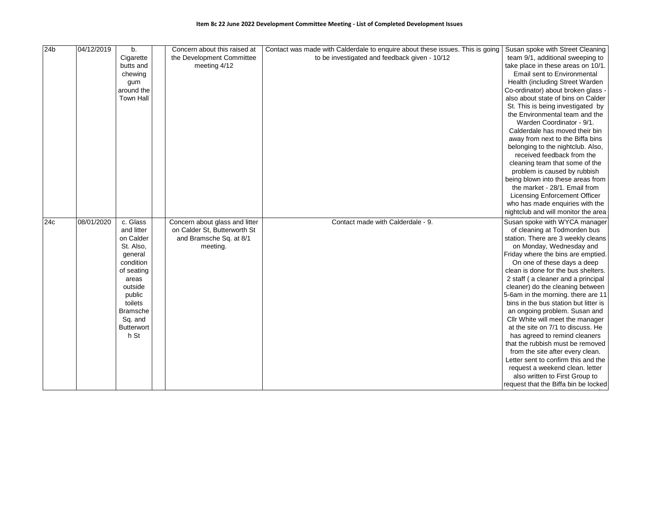| 24 <sub>b</sub> | 04/12/2019 | b.                | Concern about this raised at   | Contact was made with Calderdale to enquire about these issues. This is going Susan spoke with Street Cleaning |                                       |
|-----------------|------------|-------------------|--------------------------------|----------------------------------------------------------------------------------------------------------------|---------------------------------------|
|                 |            | Cigarette         | the Development Committee      | to be investigated and feedback given - 10/12                                                                  | team 9/1, additional sweeping to      |
|                 |            | butts and         | meeting 4/12                   |                                                                                                                | take place in these areas on 10/1.    |
|                 |            | chewing           |                                |                                                                                                                | Email sent to Environmental           |
|                 |            | gum               |                                |                                                                                                                | Health (including Street Warden       |
|                 |            | around the        |                                |                                                                                                                | Co-ordinator) about broken glass -    |
|                 |            | <b>Town Hall</b>  |                                |                                                                                                                | also about state of bins on Calder    |
|                 |            |                   |                                |                                                                                                                | St. This is being investigated by     |
|                 |            |                   |                                |                                                                                                                | the Environmental team and the        |
|                 |            |                   |                                |                                                                                                                | Warden Coordinator - 9/1.             |
|                 |            |                   |                                |                                                                                                                | Calderdale has moved their bin        |
|                 |            |                   |                                |                                                                                                                | away from next to the Biffa bins      |
|                 |            |                   |                                |                                                                                                                | belonging to the nightclub. Also,     |
|                 |            |                   |                                |                                                                                                                | received feedback from the            |
|                 |            |                   |                                |                                                                                                                | cleaning team that some of the        |
|                 |            |                   |                                |                                                                                                                | problem is caused by rubbish          |
|                 |            |                   |                                |                                                                                                                | being blown into these areas from     |
|                 |            |                   |                                |                                                                                                                | the market - 28/1. Email from         |
|                 |            |                   |                                |                                                                                                                | <b>Licensing Enforcement Officer</b>  |
|                 |            |                   |                                |                                                                                                                | who has made enquiries with the       |
|                 |            |                   |                                |                                                                                                                | nightclub and will monitor the area   |
| 24c             | 08/01/2020 | c. Glass          | Concern about glass and litter | Contact made with Calderdale - 9.                                                                              | Susan spoke with WYCA manager         |
|                 |            | and litter        | on Calder St, Butterworth St   |                                                                                                                | of cleaning at Todmorden bus          |
|                 |            | on Calder         | and Bramsche Sq. at 8/1        |                                                                                                                | station. There are 3 weekly cleans    |
|                 |            | St. Also,         | meeting.                       |                                                                                                                | on Monday, Wednesday and              |
|                 |            | general           |                                |                                                                                                                | Friday where the bins are emptied.    |
|                 |            | condition         |                                |                                                                                                                | On one of these days a deep           |
|                 |            | of seating        |                                |                                                                                                                | clean is done for the bus shelters.   |
|                 |            | areas             |                                |                                                                                                                | 2 staff (a cleaner and a principal    |
|                 |            | outside           |                                |                                                                                                                | cleaner) do the cleaning between      |
|                 |            | public            |                                |                                                                                                                | 5-6am in the morning. there are 11    |
|                 |            | toilets           |                                |                                                                                                                | bins in the bus station but litter is |
|                 |            | <b>Bramsche</b>   |                                |                                                                                                                | an ongoing problem. Susan and         |
|                 |            | Sq. and           |                                |                                                                                                                | Cllr White will meet the manager      |
|                 |            | <b>Butterwort</b> |                                |                                                                                                                | at the site on 7/1 to discuss. He     |
|                 |            | h St              |                                |                                                                                                                | has agreed to remind cleaners         |
|                 |            |                   |                                |                                                                                                                | that the rubbish must be removed      |
|                 |            |                   |                                |                                                                                                                | from the site after every clean.      |
|                 |            |                   |                                |                                                                                                                | Letter sent to confirm this and the   |
|                 |            |                   |                                |                                                                                                                | request a weekend clean. letter       |
|                 |            |                   |                                |                                                                                                                | also written to First Group to        |
|                 |            |                   |                                |                                                                                                                | request that the Biffa bin be locked  |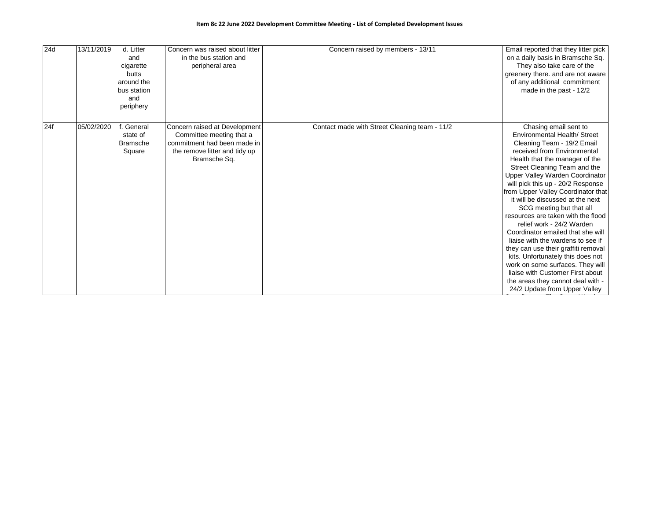| 24d | 13/11/2019 | d. Litter<br>and<br>cigarette<br>butts<br>around the<br>bus station<br>and<br>periphery | Concern was raised about litter<br>in the bus station and<br>peripheral area                                                              | Concern raised by members - 13/11             | Email reported that they litter pick<br>on a daily basis in Bramsche Sq.<br>They also take care of the<br>greenery there. and are not aware<br>of any additional commitment<br>made in the past - 12/2                                                                                                                                                                                                                                                                                                                                                                                                                                                                                                                                    |
|-----|------------|-----------------------------------------------------------------------------------------|-------------------------------------------------------------------------------------------------------------------------------------------|-----------------------------------------------|-------------------------------------------------------------------------------------------------------------------------------------------------------------------------------------------------------------------------------------------------------------------------------------------------------------------------------------------------------------------------------------------------------------------------------------------------------------------------------------------------------------------------------------------------------------------------------------------------------------------------------------------------------------------------------------------------------------------------------------------|
| 24f | 05/02/2020 | General<br>state of<br><b>Bramsche</b><br>Square                                        | Concern raised at Development<br>Committee meeting that a<br>commitment had been made in<br>the remove litter and tidy up<br>Bramsche Sq. | Contact made with Street Cleaning team - 11/2 | Chasing email sent to<br>Environmental Health/ Street<br>Cleaning Team - 19/2 Email<br>received from Environmental<br>Health that the manager of the<br>Street Cleaning Team and the<br>Upper Valley Warden Coordinator<br>will pick this up - 20/2 Response<br>from Upper Valley Coordinator that<br>it will be discussed at the next<br>SCG meeting but that all<br>resources are taken with the flood<br>relief work - 24/2 Warden<br>Coordinator emailed that she will<br>liaise with the wardens to see if<br>they can use their graffiti removal<br>kits. Unfortunately this does not<br>work on some surfaces. They will<br>liaise with Customer First about<br>the areas they cannot deal with -<br>24/2 Update from Upper Valley |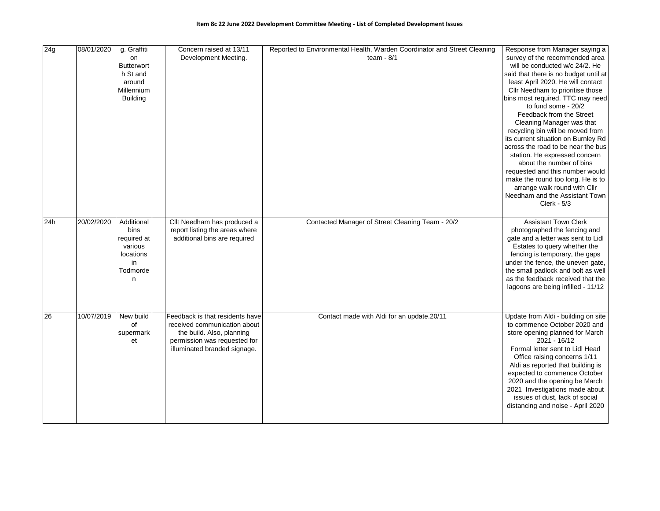| 24g | 08/01/2020 | g. Graffiti<br>on<br><b>Butterwort</b><br>h St and<br>around<br>Millennium<br><b>Building</b> | Concern raised at 13/11<br>Development Meeting.                                                                                                              | Reported to Environmental Health, Warden Coordinator and Street Cleaning<br>team - $8/1$ | Response from Manager saying a<br>survey of the recommended area<br>will be conducted w/c 24/2. He<br>said that there is no budget until at<br>least April 2020. He will contact<br>Cllr Needham to prioritise those<br>bins most required. TTC may need<br>to fund some - 20/2<br>Feedback from the Street<br>Cleaning Manager was that<br>recycling bin will be moved from<br>its current situation on Burnley Rd<br>across the road to be near the bus<br>station. He expressed concern<br>about the number of bins<br>requested and this number would<br>make the round too long. He is to |
|-----|------------|-----------------------------------------------------------------------------------------------|--------------------------------------------------------------------------------------------------------------------------------------------------------------|------------------------------------------------------------------------------------------|------------------------------------------------------------------------------------------------------------------------------------------------------------------------------------------------------------------------------------------------------------------------------------------------------------------------------------------------------------------------------------------------------------------------------------------------------------------------------------------------------------------------------------------------------------------------------------------------|
|     |            |                                                                                               |                                                                                                                                                              |                                                                                          | arrange walk round with Cllr<br>Needham and the Assistant Town<br>$Clerk - 5/3$                                                                                                                                                                                                                                                                                                                                                                                                                                                                                                                |
| 24h | 20/02/2020 | Additional<br>bins<br>required at<br>various<br>locations<br>in<br>Todmorde<br>n              | Cllt Needham has produced a<br>report listing the areas where<br>additional bins are required                                                                | Contacted Manager of Street Cleaning Team - 20/2                                         | <b>Assistant Town Clerk</b><br>photographed the fencing and<br>gate and a letter was sent to Lidl<br>Estates to query whether the<br>fencing is temporary, the gaps<br>under the fence, the uneven gate,<br>the small padlock and bolt as well<br>as the feedback received that the<br>lagoons are being infilled - 11/12                                                                                                                                                                                                                                                                      |
| 26  | 10/07/2019 | New build<br>οf<br>supermark<br>et                                                            | Feedback is that residents have<br>received communication about<br>the build. Also, planning<br>permission was requested for<br>illuminated branded signage. | Contact made with Aldi for an update.20/11                                               | Update from Aldi - building on site<br>to commence October 2020 and<br>store opening planned for March<br>2021 - 16/12<br>Formal letter sent to Lidl Head<br>Office raising concerns 1/11<br>Aldi as reported that building is<br>expected to commence October<br>2020 and the opening be March<br>2021 Investigations made about<br>issues of dust, lack of social<br>distancing and noise - April 2020                                                                                                                                                                                       |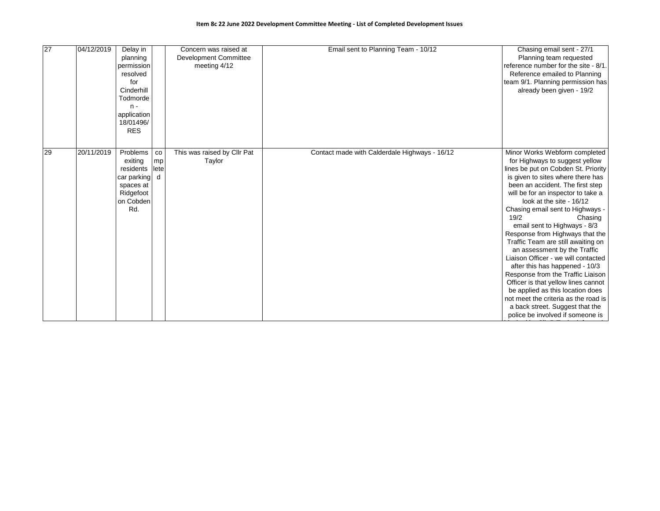| 27 | 04/12/2019 | Delay in<br>planning<br>permission<br>resolved<br>for<br>Cinderhill<br>Todmorde<br>$n -$<br>application<br>18/01496/<br><b>RES</b> |                                | Concern was raised at<br><b>Development Committee</b><br>meeting 4/12 | Email sent to Planning Team - 10/12           | Chasing email sent - 27/1<br>Planning team requested<br>reference number for the site - 8/1.<br>Reference emailed to Planning<br>team 9/1. Planning permission has<br>already been given - 19/2                                                                                                                                                                                                                                                                                                                                                                                                                                                                                                                                                           |
|----|------------|------------------------------------------------------------------------------------------------------------------------------------|--------------------------------|-----------------------------------------------------------------------|-----------------------------------------------|-----------------------------------------------------------------------------------------------------------------------------------------------------------------------------------------------------------------------------------------------------------------------------------------------------------------------------------------------------------------------------------------------------------------------------------------------------------------------------------------------------------------------------------------------------------------------------------------------------------------------------------------------------------------------------------------------------------------------------------------------------------|
| 29 | 20/11/2019 | Problems<br>exiting<br>residents<br>car parking<br>spaces at<br>Ridgefoot<br>on Cobden<br>Rd.                                      | $_{\rm co}$<br>mp<br>lete<br>d | This was raised by Cllr Pat<br>Taylor                                 | Contact made with Calderdale Highways - 16/12 | Minor Works Webform completed<br>for Highways to suggest yellow<br>lines be put on Cobden St. Priority<br>is given to sites where there has<br>been an accident. The first step<br>will be for an inspector to take a<br>look at the site - 16/12<br>Chasing email sent to Highways -<br>19/2<br>Chasing<br>email sent to Highways - 8/3<br>Response from Highways that the<br>Traffic Team are still awaiting on<br>an assessment by the Traffic<br>Liaison Officer - we will contacted<br>after this has happened - 10/3<br>Response from the Traffic Liaison<br>Officer is that yellow lines cannot<br>be applied as this location does<br>not meet the criteria as the road is<br>a back street. Suggest that the<br>police be involved if someone is |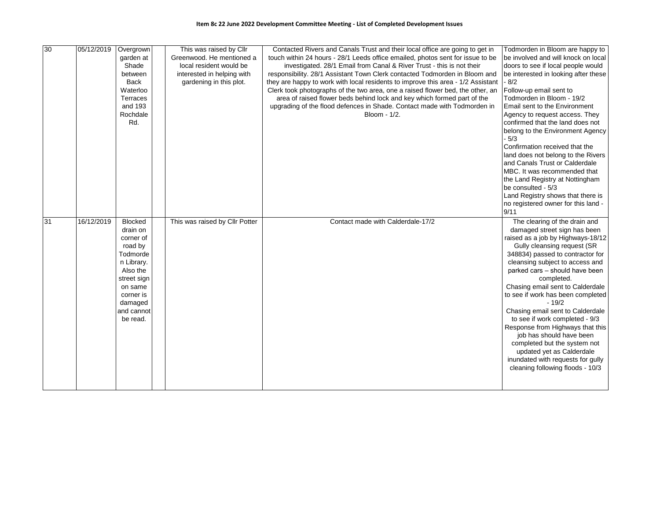| 30 | 05/12/2019 | Overgrown            | This was raised by Cllr        | Contacted Rivers and Canals Trust and their local office are going to get in     | Todmorden in Bloom are happy to              |
|----|------------|----------------------|--------------------------------|----------------------------------------------------------------------------------|----------------------------------------------|
|    |            | garden at            | Greenwood. He mentioned a      | touch within 24 hours - 28/1 Leeds office emailed, photos sent for issue to be   | be involved and will knock on local          |
|    |            | Shade                | local resident would be        | investigated. 28/1 Email from Canal & River Trust - this is not their            | doors to see if local people would           |
|    |            | between              | interested in helping with     | responsibility. 28/1 Assistant Town Clerk contacted Todmorden in Bloom and       | be interested in looking after these         |
|    |            | <b>Back</b>          | gardening in this plot.        | they are happy to work with local residents to improve this area - 1/2 Assistant | - 8/2                                        |
|    |            | Waterloo             |                                | Clerk took photographs of the two area, one a raised flower bed, the other, an   | Follow-up email sent to                      |
|    |            | Terraces             |                                | area of raised flower beds behind lock and key which formed part of the          | Todmorden in Bloom - 19/2                    |
|    |            | and 193              |                                | upgrading of the flood defences in Shade. Contact made with Todmorden in         | Email sent to the Environment                |
|    |            | Rochdale             |                                | Bloom - 1/2.                                                                     | Agency to request access. They               |
|    |            | Rd.                  |                                |                                                                                  | confirmed that the land does not             |
|    |            |                      |                                |                                                                                  | belong to the Environment Agency             |
|    |            |                      |                                |                                                                                  | $-5/3$                                       |
|    |            |                      |                                |                                                                                  | Confirmation received that the               |
|    |            |                      |                                |                                                                                  | land does not belong to the Rivers           |
|    |            |                      |                                |                                                                                  | and Canals Trust or Calderdale               |
|    |            |                      |                                |                                                                                  | MBC. It was recommended that                 |
|    |            |                      |                                |                                                                                  | the Land Registry at Nottingham              |
|    |            |                      |                                |                                                                                  | be consulted - 5/3                           |
|    |            |                      |                                |                                                                                  | Land Registry shows that there is            |
|    |            |                      |                                |                                                                                  | no registered owner for this land -          |
|    |            |                      |                                |                                                                                  | 9/11                                         |
| 31 | 16/12/2019 | <b>Blocked</b>       | This was raised by Cllr Potter | Contact made with Calderdale-17/2                                                | The clearing of the drain and                |
|    |            | drain on             |                                |                                                                                  | damaged street sign has been                 |
|    |            | corner of            |                                |                                                                                  | raised as a job by Highways-18/12            |
|    |            | road by              |                                |                                                                                  | Gully cleansing request (SR                  |
|    |            | Todmorde             |                                |                                                                                  | 348834) passed to contractor for             |
|    |            | n Library.           |                                |                                                                                  | cleansing subject to access and              |
|    |            | Also the             |                                |                                                                                  | parked cars - should have been               |
|    |            | street sign          |                                |                                                                                  | completed.                                   |
|    |            | on same              |                                |                                                                                  | Chasing email sent to Calderdale             |
|    |            | corner is<br>damaged |                                |                                                                                  | to see if work has been completed<br>$-19/2$ |
|    |            | and cannot           |                                |                                                                                  | Chasing email sent to Calderdale             |
|    |            | be read.             |                                |                                                                                  | to see if work completed - 9/3               |
|    |            |                      |                                |                                                                                  | Response from Highways that this             |
|    |            |                      |                                |                                                                                  | job has should have been                     |
|    |            |                      |                                |                                                                                  | completed but the system not                 |
|    |            |                      |                                |                                                                                  | updated yet as Calderdale                    |
|    |            |                      |                                |                                                                                  | inundated with requests for gully            |
|    |            |                      |                                |                                                                                  |                                              |
|    |            |                      |                                |                                                                                  |                                              |
|    |            |                      |                                |                                                                                  | cleaning following floods - 10/3             |
|    |            |                      |                                |                                                                                  |                                              |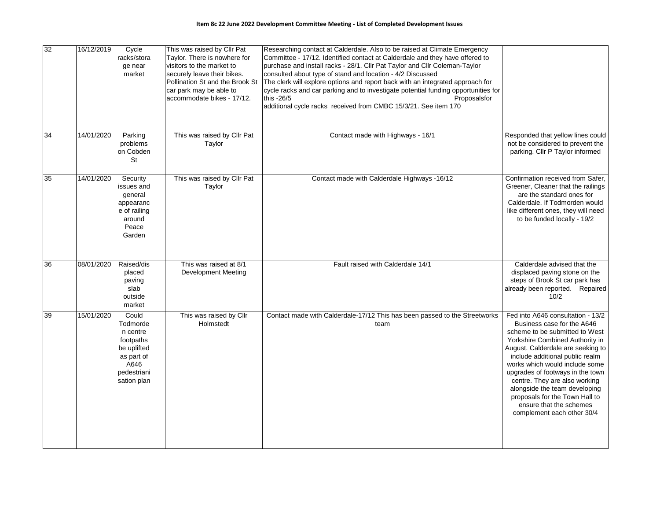| 32              | 16/12/2019 | Cycle<br>racks/stora<br>ge near<br>market                                                                     | This was raised by Cllr Pat<br>Taylor. There is nowhere for<br>visitors to the market to<br>securely leave their bikes.<br>Pollination St and the Brook St<br>car park may be able to<br>accommodate bikes - 17/12. | Researching contact at Calderdale. Also to be raised at Climate Emergency<br>Committee - 17/12. Identified contact at Calderdale and they have offered to<br>purchase and install racks - 28/1. Cllr Pat Taylor and Cllr Coleman-Taylor<br>consulted about type of stand and location - 4/2 Discussed<br>The clerk will explore options and report back with an integrated approach for<br>cycle racks and car parking and to investigate potential funding opportunities for<br>this -26/5<br>Proposalsfor<br>additional cycle racks received from CMBC 15/3/21. See item 170 |                                                                                                                                                                                                                                                                                                                                                                                                                                                 |
|-----------------|------------|---------------------------------------------------------------------------------------------------------------|---------------------------------------------------------------------------------------------------------------------------------------------------------------------------------------------------------------------|--------------------------------------------------------------------------------------------------------------------------------------------------------------------------------------------------------------------------------------------------------------------------------------------------------------------------------------------------------------------------------------------------------------------------------------------------------------------------------------------------------------------------------------------------------------------------------|-------------------------------------------------------------------------------------------------------------------------------------------------------------------------------------------------------------------------------------------------------------------------------------------------------------------------------------------------------------------------------------------------------------------------------------------------|
| $\overline{34}$ | 14/01/2020 | Parking<br>problems<br>on Cobden<br>St                                                                        | This was raised by Cllr Pat<br>Taylor                                                                                                                                                                               | Contact made with Highways - 16/1                                                                                                                                                                                                                                                                                                                                                                                                                                                                                                                                              | Responded that yellow lines could<br>not be considered to prevent the<br>parking. Cllr P Taylor informed                                                                                                                                                                                                                                                                                                                                        |
| 35              | 14/01/2020 | Security<br>issues and<br>general<br>appearanc<br>e of railing<br>around<br>Peace<br>Garden                   | This was raised by Cllr Pat<br>Taylor                                                                                                                                                                               | Contact made with Calderdale Highways -16/12                                                                                                                                                                                                                                                                                                                                                                                                                                                                                                                                   | Confirmation received from Safer,<br>Greener, Cleaner that the railings<br>are the standard ones for<br>Calderdale. If Todmorden would<br>like different ones, they will need<br>to be funded locally - 19/2                                                                                                                                                                                                                                    |
| $\overline{36}$ | 08/01/2020 | Raised/dis<br>placed<br>paving<br>slab<br>outside<br>market                                                   | This was raised at 8/1<br><b>Development Meeting</b>                                                                                                                                                                | Fault raised with Calderdale 14/1                                                                                                                                                                                                                                                                                                                                                                                                                                                                                                                                              | Calderdale advised that the<br>displaced paving stone on the<br>steps of Brook St car park has<br>already been reported. Repaired<br>10/2                                                                                                                                                                                                                                                                                                       |
| 39              | 15/01/2020 | Could<br>Todmorde<br>n centre<br>footpaths<br>be uplifted<br>as part of<br>A646<br>pedestriani<br>sation plan | This was raised by Cllr<br>Holmstedt                                                                                                                                                                                | Contact made with Calderdale-17/12 This has been passed to the Streetworks<br>team                                                                                                                                                                                                                                                                                                                                                                                                                                                                                             | Fed into A646 consultation - 13/2<br>Business case for the A646<br>scheme to be submitted to West<br>Yorkshire Combined Authority in<br>August. Calderdale are seeking to<br>include additional public realm<br>works which would include some<br>upgrades of footways in the town<br>centre. They are also working<br>alongside the team developing<br>proposals for the Town Hall to<br>ensure that the schemes<br>complement each other 30/4 |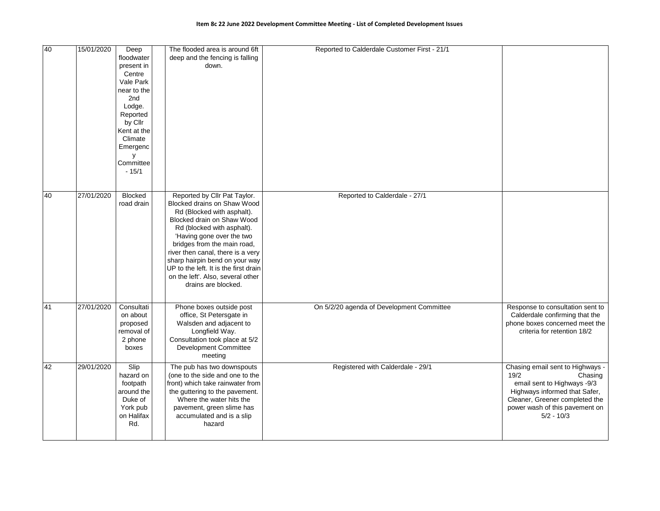| 40 | 15/01/2020 | Deep<br>floodwater<br>present in<br>Centre<br>Vale Park<br>near to the<br>2 <sub>nd</sub><br>Lodge.<br>Reported<br>by Cllr<br>Kent at the<br>Climate<br>Emergenc<br>у<br>Committee<br>$-15/1$ | The flooded area is around 6ft<br>deep and the fencing is falling<br>down.                                                                                                                                                                                                                                                                                                                    | Reported to Calderdale Customer First - 21/1 |                                                                                                                                                                                                         |
|----|------------|-----------------------------------------------------------------------------------------------------------------------------------------------------------------------------------------------|-----------------------------------------------------------------------------------------------------------------------------------------------------------------------------------------------------------------------------------------------------------------------------------------------------------------------------------------------------------------------------------------------|----------------------------------------------|---------------------------------------------------------------------------------------------------------------------------------------------------------------------------------------------------------|
| 40 | 27/01/2020 | Blocked<br>road drain                                                                                                                                                                         | Reported by Cllr Pat Taylor.<br>Blocked drains on Shaw Wood<br>Rd (Blocked with asphalt).<br>Blocked drain on Shaw Wood<br>Rd (blocked with asphalt).<br>'Having gone over the two<br>bridges from the main road,<br>river then canal, there is a very<br>sharp hairpin bend on your way<br>UP to the left. It is the first drain<br>on the left'. Also, several other<br>drains are blocked. | Reported to Calderdale - 27/1                |                                                                                                                                                                                                         |
| 41 | 27/01/2020 | Consultati<br>on about<br>proposed<br>removal of<br>2 phone<br>boxes                                                                                                                          | Phone boxes outside post<br>office, St Petersgate in<br>Walsden and adjacent to<br>Longfield Way.<br>Consultation took place at 5/2<br>Development Committee<br>meeting                                                                                                                                                                                                                       | On 5/2/20 agenda of Development Committee    | Response to consultation sent to<br>Calderdale confirming that the<br>phone boxes concerned meet the<br>criteria for retention 18/2                                                                     |
| 42 | 29/01/2020 | Slip<br>hazard on<br>footpath<br>around the<br>Duke of<br>York pub<br>on Halifax<br>Rd.                                                                                                       | The pub has two downspouts<br>(one to the side and one to the<br>front) which take rainwater from<br>the guttering to the pavement.<br>Where the water hits the<br>pavement, green slime has<br>accumulated and is a slip<br>hazard                                                                                                                                                           | Registered with Calderdale - 29/1            | Chasing email sent to Highways -<br>19/2<br>Chasing<br>email sent to Highways -9/3<br>Highways informed that Safer,<br>Cleaner, Greener completed the<br>power wash of this pavement on<br>$5/2 - 10/3$ |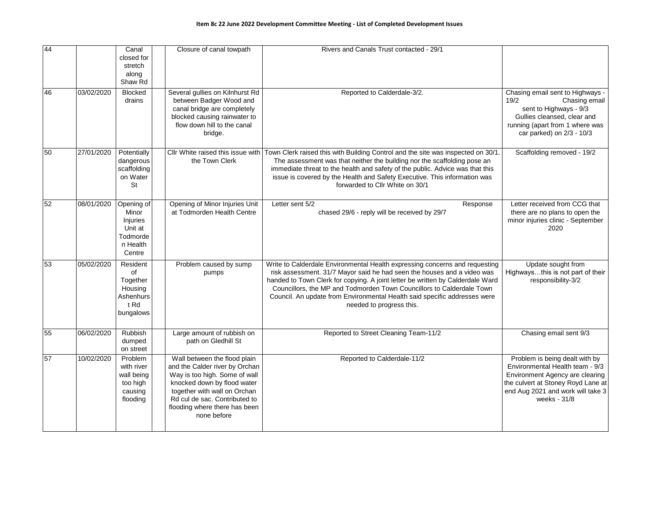| 44 |            | Canal<br>closed for<br>stretch<br>along<br>Shaw Rd                           | Closure of canal towpath                                                                                                                                                                                                                        | Rivers and Canals Trust contacted - 29/1                                                                                                                                                                                                                                                                                                                                                                                   |                                                                                                                                                                                                 |
|----|------------|------------------------------------------------------------------------------|-------------------------------------------------------------------------------------------------------------------------------------------------------------------------------------------------------------------------------------------------|----------------------------------------------------------------------------------------------------------------------------------------------------------------------------------------------------------------------------------------------------------------------------------------------------------------------------------------------------------------------------------------------------------------------------|-------------------------------------------------------------------------------------------------------------------------------------------------------------------------------------------------|
| 46 | 03/02/2020 | <b>Blocked</b><br>drains                                                     | Several gullies on Kilnhurst Rd<br>between Badger Wood and<br>canal bridge are completely<br>blocked causing rainwater to<br>flow down hill to the canal<br>bridge.                                                                             | Reported to Calderdale-3/2.                                                                                                                                                                                                                                                                                                                                                                                                | Chasing email sent to Highways -<br>19/2<br>Chasing email<br>sent to Highways - 9/3<br>Gullies cleansed, clear and<br>running (apart from 1 where was<br>car parked) on 2/3 - 10/3              |
| 50 | 27/01/2020 | Potentially<br>dangerous<br>scaffolding<br>on Water<br>St                    | Cllr White raised this issue with<br>the Town Clerk                                                                                                                                                                                             | Town Clerk raised this with Building Control and the site was inspected on 30/1.<br>The assessment was that neither the building nor the scaffolding pose an<br>immediate threat to the health and safety of the public. Advice was that this<br>issue is covered by the Health and Safety Executive. This information was<br>forwarded to Cllr White on 30/1                                                              | Scaffolding removed - 19/2                                                                                                                                                                      |
| 52 | 08/01/2020 | Opening of<br>Minor<br>Injuries<br>Unit at<br>Todmorde<br>n Health<br>Centre | Opening of Minor Injuries Unit<br>at Todmorden Health Centre                                                                                                                                                                                    | Letter sent 5/2<br>Response<br>chased 29/6 - reply will be received by 29/7                                                                                                                                                                                                                                                                                                                                                | Letter received from CCG that<br>there are no plans to open the<br>minor injuries clinic - September<br>2020                                                                                    |
| 53 | 05/02/2020 | Resident<br>of<br>Together<br>Housing<br>Ashenhurs<br>t Rd<br>bungalows      | Problem caused by sump<br>pumps                                                                                                                                                                                                                 | Write to Calderdale Environmental Health expressing concerns and requesting<br>risk assessment. 31/7 Mayor said he had seen the houses and a video was<br>handed to Town Clerk for copying. A joint letter be written by Calderdale Ward<br>Councillors, the MP and Todmorden Town Councillors to Calderdale Town<br>Council. An update from Environmental Health said specific addresses were<br>needed to progress this. | Update sought from<br>Highwaysthis is not part of their<br>responsibility-3/2                                                                                                                   |
| 55 | 06/02/2020 | Rubbish<br>dumped<br>on street                                               | Large amount of rubbish on<br>path on Gledhill St                                                                                                                                                                                               | Reported to Street Cleaning Team-11/2                                                                                                                                                                                                                                                                                                                                                                                      | Chasing email sent 9/3                                                                                                                                                                          |
| 57 | 10/02/2020 | Problem<br>with river<br>wall being<br>too high<br>causing<br>flooding       | Wall between the flood plain<br>and the Calder river by Orchan<br>Way is too high. Some of wall<br>knocked down by flood water<br>together with wall on Orchan<br>Rd cul de sac. Contributed to<br>flooding where there has been<br>none before | Reported to Calderdale-11/2                                                                                                                                                                                                                                                                                                                                                                                                | Problem is being dealt with by<br>Environmental Health team - 9/3<br>Environment Agency are clearing<br>the culvert at Stoney Royd Lane at<br>end Aug 2021 and work will take 3<br>weeks - 31/8 |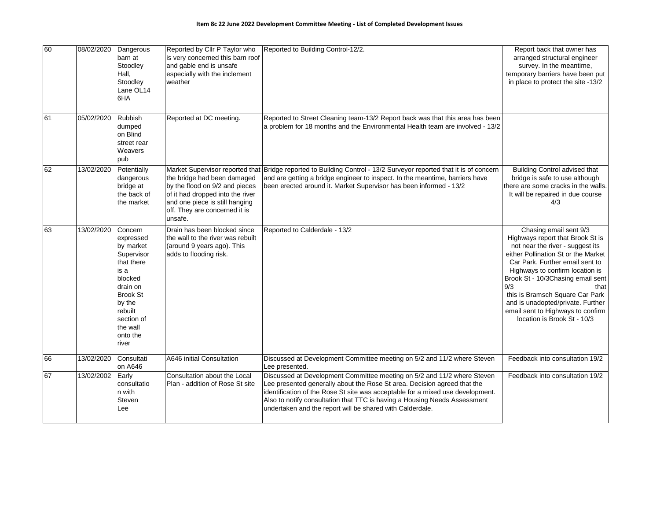| 60 | 08/02/2020 | Dangerous<br>barn at<br>Stoodley<br>Hall,<br>Stoodley<br>Lane OL14<br>6HA                                                                                                           | Reported by Cllr P Taylor who<br>is very concerned this barn roof<br>and gable end is unsafe<br>especially with the inclement<br>weather                                                                           | Reported to Building Control-12/2.                                                                                                                                                                                                                                                                                                                                              | Report back that owner has<br>arranged structural engineer<br>survey. In the meantime,<br>temporary barriers have been put<br>in place to protect the site -13/2                                                                                                                                                                                                                                            |
|----|------------|-------------------------------------------------------------------------------------------------------------------------------------------------------------------------------------|--------------------------------------------------------------------------------------------------------------------------------------------------------------------------------------------------------------------|---------------------------------------------------------------------------------------------------------------------------------------------------------------------------------------------------------------------------------------------------------------------------------------------------------------------------------------------------------------------------------|-------------------------------------------------------------------------------------------------------------------------------------------------------------------------------------------------------------------------------------------------------------------------------------------------------------------------------------------------------------------------------------------------------------|
| 61 | 05/02/2020 | Rubbish<br>dumped<br>on Blind<br>street rear<br>Weavers<br>pub                                                                                                                      | Reported at DC meeting.                                                                                                                                                                                            | Reported to Street Cleaning team-13/2 Report back was that this area has been<br>a problem for 18 months and the Environmental Health team are involved - 13/2                                                                                                                                                                                                                  |                                                                                                                                                                                                                                                                                                                                                                                                             |
| 62 | 13/02/2020 | Potentially<br>dangerous<br>bridge at<br>the back of<br>the market                                                                                                                  | Market Supervisor reported that<br>the bridge had been damaged<br>by the flood on 9/2 and pieces<br>of it had dropped into the river<br>and one piece is still hanging<br>off. They are concerned it is<br>unsafe. | Bridge reported to Building Control - 13/2 Surveyor reported that it is of concern<br>and are getting a bridge engineer to inspect. In the meantime, barriers have<br>been erected around it. Market Supervisor has been informed - 13/2                                                                                                                                        | <b>Building Control advised that</b><br>bridge is safe to use although<br>there are some cracks in the walls.<br>It will be repaired in due course<br>4/3                                                                                                                                                                                                                                                   |
| 63 | 13/02/2020 | Concern<br>expressed<br>by market<br>Supervisor<br>that there<br>is a<br>blocked<br>drain on<br><b>Brook St</b><br>by the<br>rebuilt<br>section of<br>the wall<br>onto the<br>river | Drain has been blocked since<br>the wall to the river was rebuilt<br>(around 9 years ago). This<br>adds to flooding risk.                                                                                          | Reported to Calderdale - 13/2                                                                                                                                                                                                                                                                                                                                                   | Chasing email sent 9/3<br>Highways report that Brook St is<br>not near the river - suggest its<br>either Pollination St or the Market<br>Car Park. Further email sent to<br>Highways to confirm location is<br>Brook St - 10/3Chasing email sent<br>9/3<br>that<br>this is Bramsch Square Car Park<br>and is unadopted/private. Further<br>email sent to Highways to confirm<br>location is Brook St - 10/3 |
| 66 | 13/02/2020 | Consultati<br>on A646                                                                                                                                                               | A646 initial Consultation                                                                                                                                                                                          | Discussed at Development Committee meeting on 5/2 and 11/2 where Steven<br>Lee presented.                                                                                                                                                                                                                                                                                       | Feedback into consultation 19/2                                                                                                                                                                                                                                                                                                                                                                             |
| 67 | 13/02/2002 | Early<br>consultatio<br>n with<br>Steven<br>Lee                                                                                                                                     | Consultation about the Local<br>Plan - addition of Rose St site                                                                                                                                                    | Discussed at Development Committee meeting on 5/2 and 11/2 where Steven<br>Lee presented generally about the Rose St area. Decision agreed that the<br>identification of the Rose St site was acceptable for a mixed use development.<br>Also to notify consultation that TTC is having a Housing Needs Assessment<br>undertaken and the report will be shared with Calderdale. | Feedback into consultation 19/2                                                                                                                                                                                                                                                                                                                                                                             |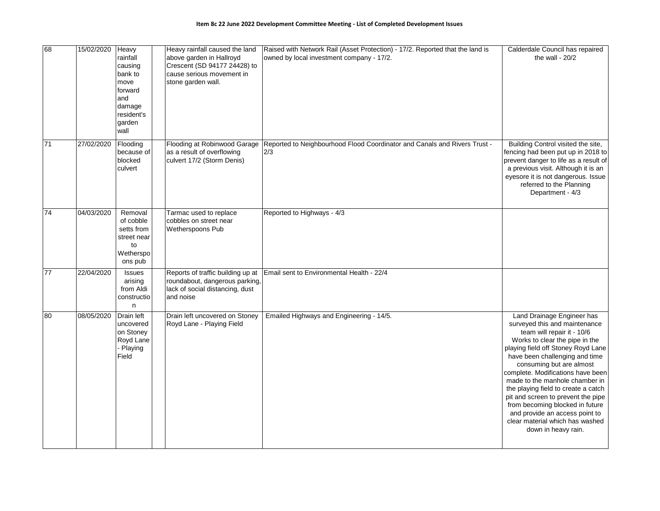| 68              | 15/02/2020 | Heavy<br>rainfall<br>causing<br>bank to<br>move<br>forward<br>and<br>damage<br>resident's<br>garden<br>wall | Heavy rainfall caused the land<br>above garden in Hallroyd<br>Crescent (SD 94177 24428) to<br>cause serious movement in<br>stone garden wall. | Raised with Network Rail (Asset Protection) - 17/2. Reported that the land is<br>owned by local investment company - 17/2. | Calderdale Council has repaired<br>the wall - $20/2$                                                                                                                                                                                                                                                                                                                                                                                                                                                               |
|-----------------|------------|-------------------------------------------------------------------------------------------------------------|-----------------------------------------------------------------------------------------------------------------------------------------------|----------------------------------------------------------------------------------------------------------------------------|--------------------------------------------------------------------------------------------------------------------------------------------------------------------------------------------------------------------------------------------------------------------------------------------------------------------------------------------------------------------------------------------------------------------------------------------------------------------------------------------------------------------|
| $\overline{71}$ | 27/02/2020 | Flooding<br>because of<br>blocked<br>culvert                                                                | Flooding at Robinwood Garage<br>as a result of overflowing<br>culvert 17/2 (Storm Denis)                                                      | Reported to Neighbourhood Flood Coordinator and Canals and Rivers Trust -<br>2/3                                           | Building Control visited the site,<br>fencing had been put up in 2018 to<br>prevent danger to life as a result of<br>a previous visit. Although it is an<br>eyesore it is not dangerous. Issue<br>referred to the Planning<br>Department - 4/3                                                                                                                                                                                                                                                                     |
| 74              | 04/03/2020 | Removal<br>of cobble<br>setts from<br>street near<br>to<br>Wetherspo<br>ons pub                             | Tarmac used to replace<br>cobbles on street near<br>Wetherspoons Pub                                                                          | Reported to Highways - 4/3                                                                                                 |                                                                                                                                                                                                                                                                                                                                                                                                                                                                                                                    |
| $\overline{77}$ | 22/04/2020 | Issues<br>arising<br>from Aldi<br>constructio<br>n                                                          | Reports of traffic building up at<br>roundabout, dangerous parking,<br>lack of social distancing, dust<br>and noise                           | Email sent to Environmental Health - 22/4                                                                                  |                                                                                                                                                                                                                                                                                                                                                                                                                                                                                                                    |
| 80              | 08/05/2020 | Drain left<br>uncovered<br>on Stoney<br>Royd Lane<br>- Playing<br>Field                                     | Drain left uncovered on Stoney<br>Royd Lane - Playing Field                                                                                   | Emailed Highways and Engineering - 14/5.                                                                                   | Land Drainage Engineer has<br>surveyed this and maintenance<br>team will repair it - 10/6<br>Works to clear the pipe in the<br>playing field off Stoney Royd Lane<br>have been challenging and time<br>consuming but are almost<br>complete. Modifications have been<br>made to the manhole chamber in<br>the playing field to create a catch<br>pit and screen to prevent the pipe<br>from becoming blocked in future<br>and provide an access point to<br>clear material which has washed<br>down in heavy rain. |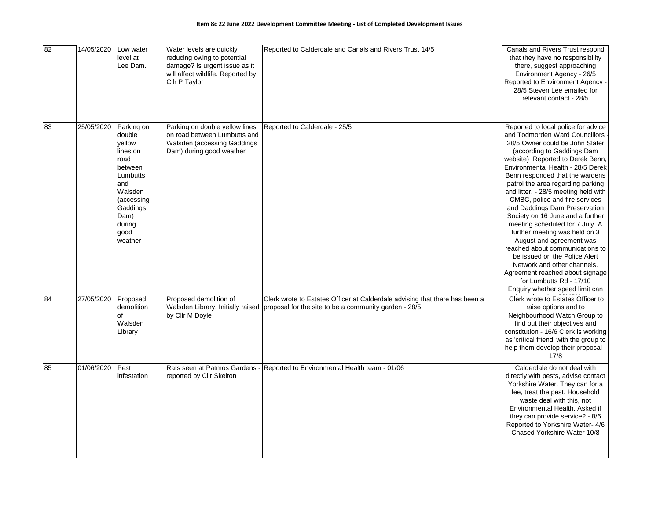| 82 | 14/05/2020 | Low water<br>level at<br>Lee Dam.                                                                                                                          | Water levels are quickly<br>reducing owing to potential<br>damage? Is urgent issue as it<br>will affect wildlife. Reported by<br>Cllr P Taylor | Reported to Calderdale and Canals and Rivers Trust 14/5                                                                                                                | Canals and Rivers Trust respond<br>that they have no responsibility<br>there, suggest approaching<br>Environment Agency - 26/5<br>Reported to Environment Agency -<br>28/5 Steven Lee emailed for<br>relevant contact - 28/5                                                                                                                                                                                                                                                                                                                                                                                                                                                                                                               |
|----|------------|------------------------------------------------------------------------------------------------------------------------------------------------------------|------------------------------------------------------------------------------------------------------------------------------------------------|------------------------------------------------------------------------------------------------------------------------------------------------------------------------|--------------------------------------------------------------------------------------------------------------------------------------------------------------------------------------------------------------------------------------------------------------------------------------------------------------------------------------------------------------------------------------------------------------------------------------------------------------------------------------------------------------------------------------------------------------------------------------------------------------------------------------------------------------------------------------------------------------------------------------------|
| 83 | 25/05/2020 | Parking on<br>double<br>vellow<br>lines on<br>road<br>between<br>Lumbutts<br>and<br>Walsden<br>(accessing<br>Gaddings<br>Dam)<br>during<br>good<br>weather | Parking on double yellow lines<br>on road between Lumbutts and<br>Walsden (accessing Gaddings<br>Dam) during good weather                      | Reported to Calderdale - 25/5                                                                                                                                          | Reported to local police for advice<br>and Todmorden Ward Councillors<br>28/5 Owner could be John Slater<br>(according to Gaddings Dam<br>website) Reported to Derek Benn,<br>Environmental Health - 28/5 Derek<br>Benn responded that the wardens<br>patrol the area regarding parking<br>and litter. - 28/5 meeting held with<br>CMBC, police and fire services<br>and Daddings Dam Preservation<br>Society on 16 June and a further<br>meeting scheduled for 7 July. A<br>further meeting was held on 3<br>August and agreement was<br>reached about communications to<br>be issued on the Police Alert<br>Network and other channels.<br>Agreement reached about signage<br>for Lumbutts Rd - 17/10<br>Enquiry whether speed limit can |
| 84 | 27/05/2020 | Proposed<br>demolition<br>of<br>Walsden<br>Library                                                                                                         | Proposed demolition of<br>by Cllr M Doyle                                                                                                      | Clerk wrote to Estates Officer at Calderdale advising that there has been a<br>Walsden Library. Initially raised proposal for the site to be a community garden - 28/5 | Clerk wrote to Estates Officer to<br>raise options and to<br>Neighbourhood Watch Group to<br>find out their objectives and<br>constitution - 16/6 Clerk is working<br>as 'critical friend' with the group to<br>help them develop their proposal -<br>17/8                                                                                                                                                                                                                                                                                                                                                                                                                                                                                 |
| 85 | 01/06/2020 | Pest<br>infestation                                                                                                                                        | reported by Cllr Skelton                                                                                                                       | Rats seen at Patmos Gardens - Reported to Environmental Health team - 01/06                                                                                            | Calderdale do not deal with<br>directly with pests, advise contact<br>Yorkshire Water. They can for a<br>fee, treat the pest. Household<br>waste deal with this, not<br>Environmental Health. Asked if<br>they can provide service? - 8/6<br>Reported to Yorkshire Water- 4/6<br>Chased Yorkshire Water 10/8                                                                                                                                                                                                                                                                                                                                                                                                                               |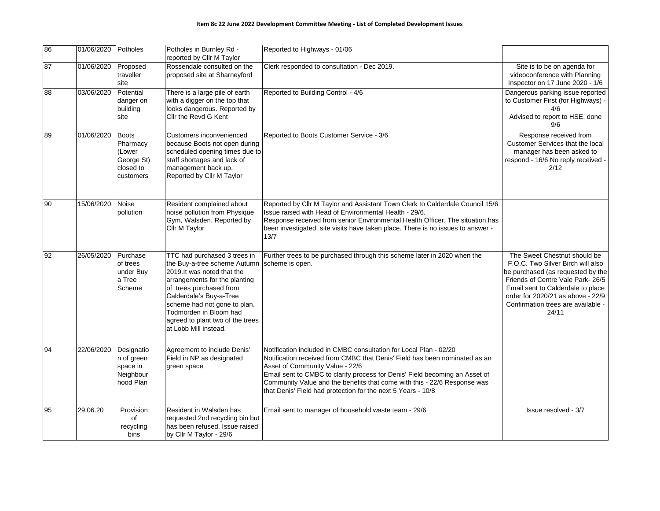| 86 | 01/06/2020 Potholes |                                                                            | Potholes in Burnley Rd -<br>reported by Cllr M Taylor                                                                                                                                                                                                                                                    | Reported to Highways - 01/06                                                                                                                                                                                                                                                                                                                                                                                  |                                                                                                                                                                                                                                                                      |
|----|---------------------|----------------------------------------------------------------------------|----------------------------------------------------------------------------------------------------------------------------------------------------------------------------------------------------------------------------------------------------------------------------------------------------------|---------------------------------------------------------------------------------------------------------------------------------------------------------------------------------------------------------------------------------------------------------------------------------------------------------------------------------------------------------------------------------------------------------------|----------------------------------------------------------------------------------------------------------------------------------------------------------------------------------------------------------------------------------------------------------------------|
| 87 | 01/06/2020          | Proposed<br>traveller<br>site                                              | Rossendale consulted on the<br>proposed site at Sharneyford                                                                                                                                                                                                                                              | Clerk responded to consultation - Dec 2019.                                                                                                                                                                                                                                                                                                                                                                   | Site is to be on agenda for<br>videoconference with Planning<br>Inspector on 17 June 2020 - 1/6                                                                                                                                                                      |
| 88 | 03/06/2020          | Potential<br>danger on<br>building<br>site                                 | There is a large pile of earth<br>with a digger on the top that<br>looks dangerous. Reported by<br>Cllr the Revd G Kent                                                                                                                                                                                  | Reported to Building Control - 4/6                                                                                                                                                                                                                                                                                                                                                                            | Dangerous parking issue reported<br>to Customer First (for Highways) -<br>4/6<br>Advised to report to HSE, done<br>9/6                                                                                                                                               |
| 89 | 01/06/2020          | <b>Boots</b><br>Pharmacy<br>(Lower<br>George St)<br>closed to<br>customers | Customers inconvenienced<br>because Boots not open during<br>scheduled opening times due to<br>staff shortages and lack of<br>management back up.<br>Reported by Cllr M Taylor                                                                                                                           | Reported to Boots Customer Service - 3/6                                                                                                                                                                                                                                                                                                                                                                      | Response received from<br>Customer Services that the local<br>manager has been asked to<br>respond - 16/6 No reply received -<br>2/12                                                                                                                                |
| 90 | 15/06/2020          | Noise<br>pollution                                                         | Resident complained about<br>noise pollution from Physique<br>Gym, Walsden. Reported by<br>Cllr M Taylor                                                                                                                                                                                                 | Reported by Cllr M Taylor and Assistant Town Clerk to Calderdale Council 15/6<br>Issue raised with Head of Environmental Health - 29/6.<br>Response received from senior Environmental Health Officer. The situation has<br>been investigated, site visits have taken place. There is no issues to answer -<br>13/7                                                                                           |                                                                                                                                                                                                                                                                      |
| 92 | 26/05/2020          | Purchase<br>of trees<br>under Buy<br>a Tree<br>Scheme                      | TTC had purchased 3 trees in<br>the Buy-a-tree scheme Autumn<br>2019.It was noted that the<br>arrangements for the planting<br>of trees purchased from<br>Calderdale's Buy-a-Tree<br>scheme had not gone to plan.<br>Todmorden in Bloom had<br>agreed to plant two of the trees<br>at Lobb Mill instead. | Further trees to be purchased through this scheme later in 2020 when the<br>scheme is open.                                                                                                                                                                                                                                                                                                                   | The Sweet Chestnut should be<br>F.O.C. Two Silver Birch will also<br>be purchased (as requested by the<br>Friends of Centre Vale Park- 26/5<br>Email sent to Calderdale to place<br>order for 2020/21 as above - 22/9<br>Confirmation trees are available -<br>24/11 |
| 94 | 22/06/2020          | Designatio<br>n of green<br>space in<br>Neighbour<br>hood Plan             | Agreement to include Denis'<br>Field in NP as designated<br>green space                                                                                                                                                                                                                                  | Notification included in CMBC consultation for Local Plan - 02/20<br>Notification received from CMBC that Denis' Field has been nominated as an<br>Asset of Community Value - 22/6<br>Email sent to CMBC to clarify process for Denis' Field becoming an Asset of<br>Community Value and the benefits that come with this - 22/6 Response was<br>that Denis' Field had protection for the next 5 Years - 10/8 |                                                                                                                                                                                                                                                                      |
| 95 | 29.06.20            | Provision<br>of<br>recycling<br>bins                                       | Resident in Walsden has<br>requested 2nd recycling bin but<br>has been refused. Issue raised<br>by Cllr M Taylor - 29/6                                                                                                                                                                                  | Email sent to manager of household waste team - 29/6                                                                                                                                                                                                                                                                                                                                                          | Issue resolved - 3/7                                                                                                                                                                                                                                                 |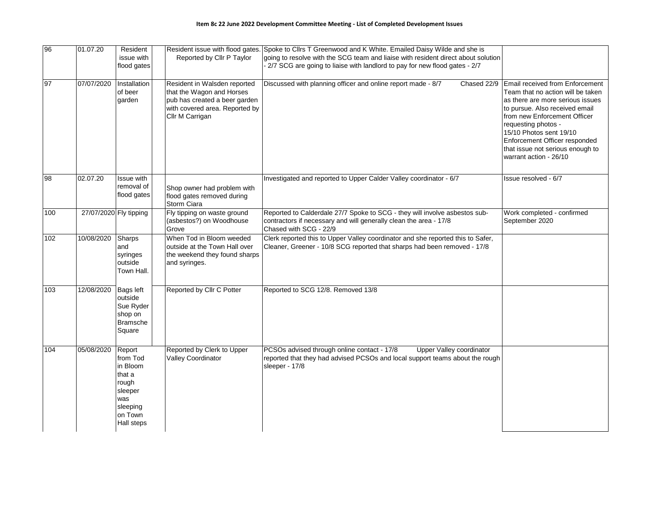| 96  | 01.07.20               | Resident<br>issue with<br>flood gates                                                                    | Reported by Cllr P Taylor                                                                                                                       | Resident issue with flood gates. Spoke to ClIrs T Greenwood and K White. Emailed Daisy Wilde and she is<br>going to resolve with the SCG team and liaise with resident direct about solution<br>- 2/7 SCG are going to liaise with landlord to pay for new flood gates - 2/7 |                                                                                                                                                                                                                                                                                                                             |
|-----|------------------------|----------------------------------------------------------------------------------------------------------|-------------------------------------------------------------------------------------------------------------------------------------------------|------------------------------------------------------------------------------------------------------------------------------------------------------------------------------------------------------------------------------------------------------------------------------|-----------------------------------------------------------------------------------------------------------------------------------------------------------------------------------------------------------------------------------------------------------------------------------------------------------------------------|
| 97  | 07/07/2020             | Installation<br>of beer<br>garden                                                                        | Resident in Walsden reported<br>that the Wagon and Horses<br>pub has created a beer garden<br>with covered area. Reported by<br>Cllr M Carrigan | Discussed with planning officer and online report made - 8/7<br>Chased 22/9                                                                                                                                                                                                  | Email received from Enforcement<br>Team that no action will be taken<br>as there are more serious issues<br>to pursue. Also received email<br>from new Enforcement Officer<br>requesting photos -<br>15/10 Photos sent 19/10<br>Enforcement Officer responded<br>that issue not serious enough to<br>warrant action - 26/10 |
| 98  | 02.07.20               | Issue with<br>removal of<br>flood gates                                                                  | Shop owner had problem with<br>flood gates removed during<br>Storm Ciara                                                                        | Investigated and reported to Upper Calder Valley coordinator - 6/7                                                                                                                                                                                                           | Issue resolved - 6/7                                                                                                                                                                                                                                                                                                        |
| 100 | 27/07/2020 Fly tipping |                                                                                                          | Fly tipping on waste ground<br>(asbestos?) on Woodhouse<br>Grove                                                                                | Reported to Calderdale 27/7 Spoke to SCG - they will involve asbestos sub-<br>contractors if necessary and will generally clean the area - 17/8<br>Chased with SCG - 22/9                                                                                                    | Work completed - confirmed<br>September 2020                                                                                                                                                                                                                                                                                |
| 102 | 10/08/2020             | Sharps<br>and<br>syringes<br>outside<br>Town Hall.                                                       | When Tod in Bloom weeded<br>outside at the Town Hall over<br>the weekend they found sharps<br>and syringes.                                     | Clerk reported this to Upper Valley coordinator and she reported this to Safer,<br>Cleaner, Greener - 10/8 SCG reported that sharps had been removed - 17/8                                                                                                                  |                                                                                                                                                                                                                                                                                                                             |
| 103 | 12/08/2020             | <b>Bags left</b><br>outside<br>Sue Ryder<br>shop on<br><b>Bramsche</b><br>Square                         | Reported by Cllr C Potter                                                                                                                       | Reported to SCG 12/8. Removed 13/8                                                                                                                                                                                                                                           |                                                                                                                                                                                                                                                                                                                             |
| 104 | 05/08/2020             | Report<br>from Tod<br>in Bloom<br>that a<br>rough<br>sleeper<br>was<br>sleeping<br>on Town<br>Hall steps | Reported by Clerk to Upper<br>Valley Coordinator                                                                                                | PCSOs advised through online contact - 17/8<br>Upper Valley coordinator<br>reported that they had advised PCSOs and local support teams about the rough<br>sleeper - 17/8                                                                                                    |                                                                                                                                                                                                                                                                                                                             |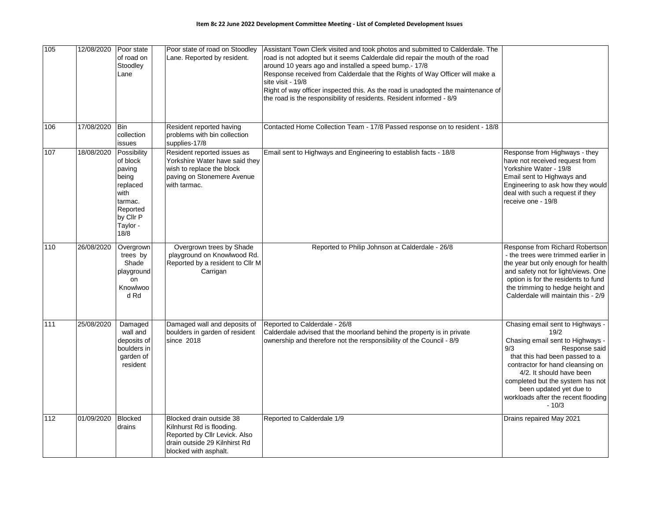| 105 | 12/08/2020 | Poor state<br>of road on<br>Stoodley<br>Lane                                                                           | Poor state of road on Stoodley<br>Lane. Reported by resident.                                                                                    | Assistant Town Clerk visited and took photos and submitted to Calderdale. The<br>road is not adopted but it seems Calderdale did repair the mouth of the road<br>around 10 years ago and installed a speed bump.- 17/8<br>Response received from Calderdale that the Rights of Way Officer will make a<br>site visit - 19/8<br>Right of way officer inspected this. As the road is unadopted the maintenance of<br>the road is the responsibility of residents. Resident informed - 8/9 |                                                                                                                                                                                                                                                                                                                         |
|-----|------------|------------------------------------------------------------------------------------------------------------------------|--------------------------------------------------------------------------------------------------------------------------------------------------|-----------------------------------------------------------------------------------------------------------------------------------------------------------------------------------------------------------------------------------------------------------------------------------------------------------------------------------------------------------------------------------------------------------------------------------------------------------------------------------------|-------------------------------------------------------------------------------------------------------------------------------------------------------------------------------------------------------------------------------------------------------------------------------------------------------------------------|
| 106 | 17/08/2020 | <b>Bin</b><br>collection<br>issues                                                                                     | Resident reported having<br>problems with bin collection<br>supplies-17/8                                                                        | Contacted Home Collection Team - 17/8 Passed response on to resident - 18/8                                                                                                                                                                                                                                                                                                                                                                                                             |                                                                                                                                                                                                                                                                                                                         |
| 107 | 18/08/2020 | Possibility<br>of block<br>paving<br>being<br>replaced<br>with<br>tarmac.<br>Reported<br>by Cllr P<br>Taylor -<br>18/8 | Resident reported issues as<br>Yorkshire Water have said they<br>wish to replace the block<br>paving on Stonemere Avenue<br>with tarmac.         | Email sent to Highways and Engineering to establish facts - 18/8                                                                                                                                                                                                                                                                                                                                                                                                                        | Response from Highways - they<br>have not received request from<br>Yorkshire Water - 19/8<br>Email sent to Highways and<br>Engineering to ask how they would<br>deal with such a request if they<br>receive one - 19/8                                                                                                  |
| 110 | 26/08/2020 | Overgrown<br>trees by<br>Shade<br>playground<br>on<br>Knowlwoo<br>d Rd                                                 | Overgrown trees by Shade<br>playground on Knowlwood Rd.<br>Reported by a resident to Cllr M<br>Carrigan                                          | Reported to Philip Johnson at Calderdale - 26/8                                                                                                                                                                                                                                                                                                                                                                                                                                         | Response from Richard Robertson<br>- the trees were trimmed earlier in<br>the year but only enough for health<br>and safety not for light/views. One<br>option is for the residents to fund<br>the trimming to hedge height and<br>Calderdale will maintain this - 2/9                                                  |
| 111 | 25/08/2020 | Damaged<br>wall and<br>deposits of<br>boulders in<br>garden of<br>resident                                             | Damaged wall and deposits of<br>boulders in garden of resident<br>since 2018                                                                     | Reported to Calderdale - 26/8<br>Calderdale advised that the moorland behind the property is in private<br>ownership and therefore not the rersponsibility of the Council - 8/9                                                                                                                                                                                                                                                                                                         | Chasing email sent to Highways -<br>19/2<br>Chasing email sent to Highways -<br>9/3<br>Response said<br>that this had been passed to a<br>contractor for hand cleansing on<br>4/2. It should have been<br>completed but the system has not<br>been updated yet due to<br>workloads after the recent flooding<br>$-10/3$ |
| 112 | 01/09/2020 | <b>Blocked</b><br>drains                                                                                               | Blocked drain outside 38<br>Kilnhurst Rd is flooding.<br>Reported by Cllr Levick. Also<br>drain outside 29 Kilnhirst Rd<br>blocked with asphalt. | Reported to Calderdale 1/9                                                                                                                                                                                                                                                                                                                                                                                                                                                              | Drains repaired May 2021                                                                                                                                                                                                                                                                                                |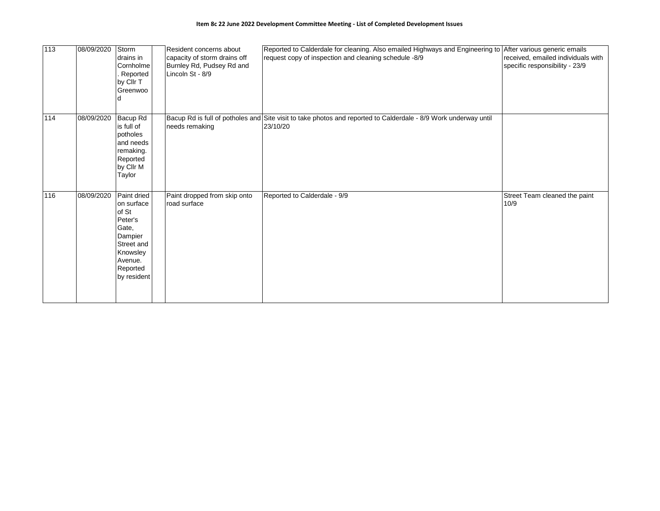| 113 | 08/09/2020 | Storm<br>drains in<br>Cornholme<br>Reported<br>by Cllr T<br>Greenwoo                                                              | Resident concerns about<br>capacity of storm drains off<br>Burnley Rd, Pudsey Rd and<br>Lincoln St - 8/9 | Reported to Calderdale for cleaning. Also emailed Highways and Engineering to After various generic emails<br>request copy of inspection and cleaning schedule -8/9 | received, emailed individuals with<br>specific responsibility - 23/9 |
|-----|------------|-----------------------------------------------------------------------------------------------------------------------------------|----------------------------------------------------------------------------------------------------------|---------------------------------------------------------------------------------------------------------------------------------------------------------------------|----------------------------------------------------------------------|
| 114 | 08/09/2020 | Bacup Rd<br>is full of<br>potholes<br>and needs<br>remaking.<br>Reported<br>by Cllr M<br>Taylor                                   | needs remaking                                                                                           | Bacup Rd is full of potholes and Site visit to take photos and reported to Calderdale - 8/9 Work underway until<br>23/10/20                                         |                                                                      |
| 116 | 08/09/2020 | Paint dried<br>on surface<br>of St<br>Peter's<br>Gate,<br>Dampier<br>Street and<br>Knowsley<br>Avenue.<br>Reported<br>by resident | Paint dropped from skip onto<br>road surface                                                             | Reported to Calderdale - 9/9                                                                                                                                        | Street Team cleaned the paint<br>10/9                                |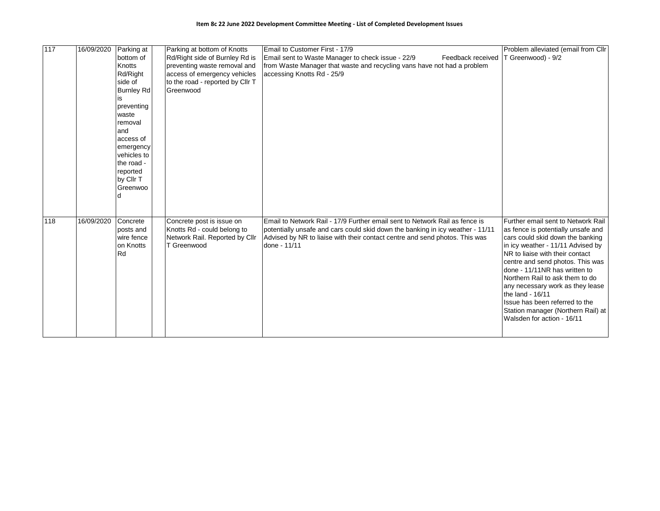| 117 | 16/09/2020 | Parking at<br>bottom of<br><b>Knotts</b><br>Rd/Right<br>side of<br><b>Burnley Rd</b><br>preventing<br>waste<br>removal<br>land<br>access of<br>emergency<br>vehicles to<br>the road -<br>reported<br>by Cllr T<br>Greenwoo | Parking at bottom of Knotts<br>Rd/Right side of Burnley Rd is<br>preventing waste removal and<br>access of emergency vehicles<br>to the road - reported by Cllr T<br>Greenwood | Email to Customer First - 17/9<br>Email sent to Waste Manager to check issue - 22/9<br>Feedback received<br>from Waste Manager that waste and recycling vans have not had a problem<br>accessing Knotts Rd - 25/9                                            | Problem alleviated (email from Cllr<br>T Greenwood) - 9/2                                                                                                                                                                                                                                                                                                                                                                                                  |
|-----|------------|----------------------------------------------------------------------------------------------------------------------------------------------------------------------------------------------------------------------------|--------------------------------------------------------------------------------------------------------------------------------------------------------------------------------|--------------------------------------------------------------------------------------------------------------------------------------------------------------------------------------------------------------------------------------------------------------|------------------------------------------------------------------------------------------------------------------------------------------------------------------------------------------------------------------------------------------------------------------------------------------------------------------------------------------------------------------------------------------------------------------------------------------------------------|
| 118 | 16/09/2020 | Concrete<br>posts and<br>wire fence<br>on Knotts<br><b>Rd</b>                                                                                                                                                              | Concrete post is issue on<br>Knotts Rd - could belong to<br>Network Rail. Reported by Cllr<br>T Greenwood                                                                      | Email to Network Rail - 17/9 Further email sent to Network Rail as fence is<br>potentially unsafe and cars could skid down the banking in icy weather - 11/11<br>Advised by NR to liaise with their contact centre and send photos. This was<br>done - 11/11 | Further email sent to Network Rail<br>as fence is potentially unsafe and<br>cars could skid down the banking<br>in icy weather - 11/11 Advised by<br>NR to liaise with their contact<br>centre and send photos. This was<br>done - 11/11NR has written to<br>Northern Rail to ask them to do<br>any necessary work as they lease<br>the land - 16/11<br>Issue has been referred to the<br>Station manager (Northern Rail) at<br>Walsden for action - 16/11 |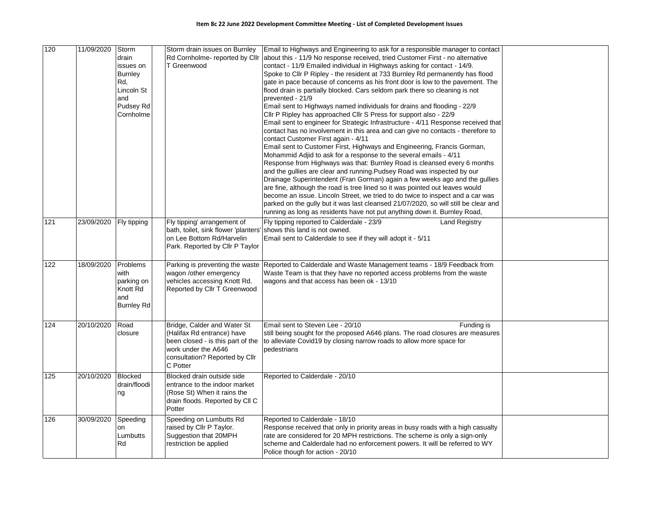| 120   | 11/09/2020 | Storm<br>drain<br>issues on<br><b>Burnley</b><br>Rd,<br>Lincoln St<br>and<br>Pudsey Rd<br>Cornholme | T Greenwood                                                                                                                                                         | Storm drain issues on Burnley   Email to Highways and Engineering to ask for a responsible manager to contact<br>Rd Cornholme- reported by Cllr about this - 11/9 No response received, tried Customer First - no alternative<br>contact - 11/9 Emailed individual in Highways asking for contact - 14/9.<br>Spoke to Cllr P Ripley - the resident at 733 Burnley Rd permanently has flood<br>gate in pace because of concerns as his front door is low to the pavement. The<br>flood drain is partially blocked. Cars seldom park there so cleaning is not<br>prevented - 21/9<br>Email sent to Highways named individuals for drains and flooding - 22/9<br>Cllr P Ripley has approached Cllr S Press for support also - 22/9<br>Email sent to engineer for Strategic Infrastructure - 4/11 Response received that<br>contact has no involvement in this area and can give no contacts - therefore to<br>contact Customer First again - 4/11<br>Email sent to Customer First, Highways and Engineering, Francis Gorman,<br>Mohammid Adjid to ask for a response to the several emails - 4/11<br>Response from Highways was that: Burnley Road is cleansed every 6 months<br>and the gullies are clear and running. Pudsey Road was inspected by our<br>Drainage Superintendent (Fran Gorman) again a few weeks ago and the gullies<br>are fine, although the road is tree lined so it was pointed out leaves would<br>become an issue. Lincoln Street, we tried to do twice to inspect and a car was<br>parked on the gully but it was last cleansed 21/07/2020, so will still be clear and<br>running as long as residents have not put anything down it. Burnley Road, |  |
|-------|------------|-----------------------------------------------------------------------------------------------------|---------------------------------------------------------------------------------------------------------------------------------------------------------------------|----------------------------------------------------------------------------------------------------------------------------------------------------------------------------------------------------------------------------------------------------------------------------------------------------------------------------------------------------------------------------------------------------------------------------------------------------------------------------------------------------------------------------------------------------------------------------------------------------------------------------------------------------------------------------------------------------------------------------------------------------------------------------------------------------------------------------------------------------------------------------------------------------------------------------------------------------------------------------------------------------------------------------------------------------------------------------------------------------------------------------------------------------------------------------------------------------------------------------------------------------------------------------------------------------------------------------------------------------------------------------------------------------------------------------------------------------------------------------------------------------------------------------------------------------------------------------------------------------------------------------------------------------------------------------|--|
| $121$ | 23/09/2020 | Fly tipping                                                                                         | Fly tipping' arrangement of<br>bath, toilet, sink flower 'planters' shows this land is not owned.<br>on Lee Bottom Rd/Harvelin<br>Park. Reported by Cllr P Taylor   | Fly tipping reported to Calderdale - 23/9<br><b>Land Registry</b><br>Email sent to Calderdale to see if they will adopt it - 5/11                                                                                                                                                                                                                                                                                                                                                                                                                                                                                                                                                                                                                                                                                                                                                                                                                                                                                                                                                                                                                                                                                                                                                                                                                                                                                                                                                                                                                                                                                                                                          |  |
| 122   | 18/09/2020 | Problems<br>with<br>parking on<br>Knott Rd<br>and<br><b>Burnley Rd</b>                              | wagon /other emergency<br>vehicles accessing Knott Rd.<br>Reported by Cllr T Greenwood                                                                              | Parking is preventing the waste Reported to Calderdale and Waste Management teams - 18/9 Feedback from<br>Waste Team is that they have no reported access problems from the waste<br>wagons and that access has been ok - 13/10                                                                                                                                                                                                                                                                                                                                                                                                                                                                                                                                                                                                                                                                                                                                                                                                                                                                                                                                                                                                                                                                                                                                                                                                                                                                                                                                                                                                                                            |  |
| 124   | 20/10/2020 | Road<br>closure                                                                                     | Bridge, Calder and Water St<br>(Halifax Rd entrance) have<br>been closed - is this part of the<br>work under the A646<br>consultation? Reported by Cllr<br>C Potter | Email sent to Steven Lee - 20/10<br>Funding is<br>still being sought for the proposed A646 plans. The road closures are measures<br>to alleviate Covid19 by closing narrow roads to allow more space for<br>pedestrians                                                                                                                                                                                                                                                                                                                                                                                                                                                                                                                                                                                                                                                                                                                                                                                                                                                                                                                                                                                                                                                                                                                                                                                                                                                                                                                                                                                                                                                    |  |
| $125$ | 20/10/2020 | <b>Blocked</b><br>drain/floodi<br>ng                                                                | Blocked drain outside side<br>entrance to the indoor market<br>(Rose St) When it rains the<br>drain floods. Reported by CII C<br>Potter                             | Reported to Calderdale - 20/10                                                                                                                                                                                                                                                                                                                                                                                                                                                                                                                                                                                                                                                                                                                                                                                                                                                                                                                                                                                                                                                                                                                                                                                                                                                                                                                                                                                                                                                                                                                                                                                                                                             |  |
| 126   | 30/09/2020 | Speeding<br>on<br>Lumbutts<br>Rd                                                                    | Speeding on Lumbutts Rd<br>raised by Cllr P Taylor.<br>Suggestion that 20MPH<br>restriction be applied                                                              | Reported to Calderdale - 18/10<br>Response received that only in priority areas in busy roads with a high casualty<br>rate are considered for 20 MPH restrictions. The scheme is only a sign-only<br>scheme and Calderdale had no enforcement powers. It will be referred to WY<br>Police though for action - 20/10                                                                                                                                                                                                                                                                                                                                                                                                                                                                                                                                                                                                                                                                                                                                                                                                                                                                                                                                                                                                                                                                                                                                                                                                                                                                                                                                                        |  |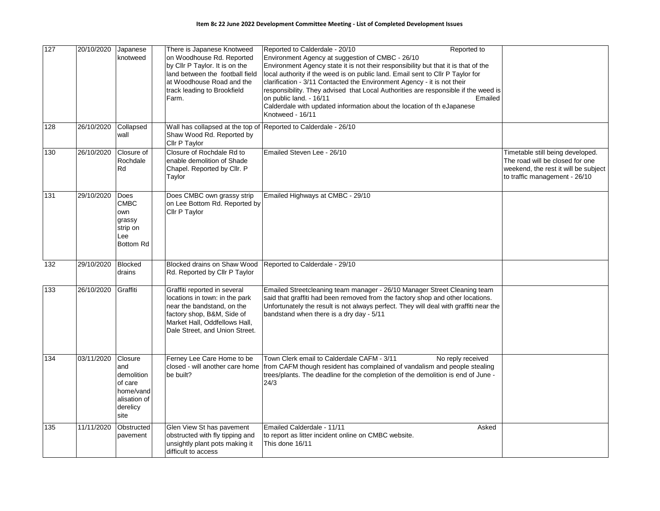| 127 | 20/10/2020 | Japanese<br>knotweed                                                                     | There is Japanese Knotweed<br>on Woodhouse Rd. Reported<br>by Cllr P Taylor. It is on the<br>land between the football field<br>at Woodhouse Road and the<br>track leading to Brookfield<br>Farm. | Reported to Calderdale - 20/10<br>Reported to<br>Environment Agency at suggestion of CMBC - 26/10<br>Environment Agency state it is not their responsibility but that it is that of the<br>local authority if the weed is on public land. Email sent to Cllr P Taylor for<br>clarification - 3/11 Contacted the Environment Agency - it is not their<br>responsibility. They advised that Local Authorities are responsible if the weed is<br>Emailed<br>on public land. - 16/11<br>Calderdale with updated information about the location of th eJapanese<br>Knotweed - 16/11 |                                                                                                                                              |
|-----|------------|------------------------------------------------------------------------------------------|---------------------------------------------------------------------------------------------------------------------------------------------------------------------------------------------------|--------------------------------------------------------------------------------------------------------------------------------------------------------------------------------------------------------------------------------------------------------------------------------------------------------------------------------------------------------------------------------------------------------------------------------------------------------------------------------------------------------------------------------------------------------------------------------|----------------------------------------------------------------------------------------------------------------------------------------------|
| 128 | 26/10/2020 | Collapsed<br>wall                                                                        | Shaw Wood Rd. Reported by<br>Cllr P Taylor                                                                                                                                                        | Wall has collapsed at the top of Reported to Calderdale - 26/10                                                                                                                                                                                                                                                                                                                                                                                                                                                                                                                |                                                                                                                                              |
| 130 | 26/10/2020 | Closure of<br>Rochdale<br>Rd                                                             | Closure of Rochdale Rd to<br>enable demolition of Shade<br>Chapel. Reported by Cllr. P<br>Taylor                                                                                                  | Emailed Steven Lee - 26/10                                                                                                                                                                                                                                                                                                                                                                                                                                                                                                                                                     | Timetable still being developed.<br>The road will be closed for one<br>weekend, the rest it will be subject<br>to traffic management - 26/10 |
| 131 | 29/10/2020 | Does<br><b>CMBC</b><br>own<br>grassy<br>strip on<br>Lee<br><b>Bottom Rd</b>              | Does CMBC own grassy strip<br>on Lee Bottom Rd. Reported by<br>Cllr P Taylor                                                                                                                      | Emailed Highways at CMBC - 29/10                                                                                                                                                                                                                                                                                                                                                                                                                                                                                                                                               |                                                                                                                                              |
| 132 | 29/10/2020 | <b>Blocked</b><br>drains                                                                 | Blocked drains on Shaw Wood<br>Rd. Reported by Cllr P Taylor                                                                                                                                      | Reported to Calderdale - 29/10                                                                                                                                                                                                                                                                                                                                                                                                                                                                                                                                                 |                                                                                                                                              |
| 133 | 26/10/2020 | Graffiti                                                                                 | Graffiti reported in several<br>locations in town: in the park<br>near the bandstand, on the<br>factory shop, B&M, Side of<br>Market Hall, Oddfellows Hall,<br>Dale Street, and Union Street.     | Emailed Streetcleaning team manager - 26/10 Manager Street Cleaning team<br>said that graffiti had been removed from the factory shop and other locations.<br>Unfortunately the result is not always perfect. They will deal with graffiti near the<br>bandstand when there is a dry day - 5/11                                                                                                                                                                                                                                                                                |                                                                                                                                              |
| 134 | 03/11/2020 | Closure<br>and<br>demolition<br>of care<br>home/vand<br>alisation of<br>derelicy<br>site | Ferney Lee Care Home to be<br>be built?                                                                                                                                                           | Town Clerk email to Calderdale CAFM - 3/11<br>No reply received<br>closed - will another care home from CAFM though resident has complained of vandalism and people stealing<br>trees/plants. The deadline for the completion of the demolition is end of June -<br>24/3                                                                                                                                                                                                                                                                                                       |                                                                                                                                              |
| 135 | 11/11/2020 | Obstructed<br>pavement                                                                   | Glen View St has pavement<br>obstructed with fly tipping and<br>unsightly plant pots making it<br>difficult to access                                                                             | Emailed Calderdale - 11/11<br>Asked<br>to report as litter incident online on CMBC website.<br>This done 16/11                                                                                                                                                                                                                                                                                                                                                                                                                                                                 |                                                                                                                                              |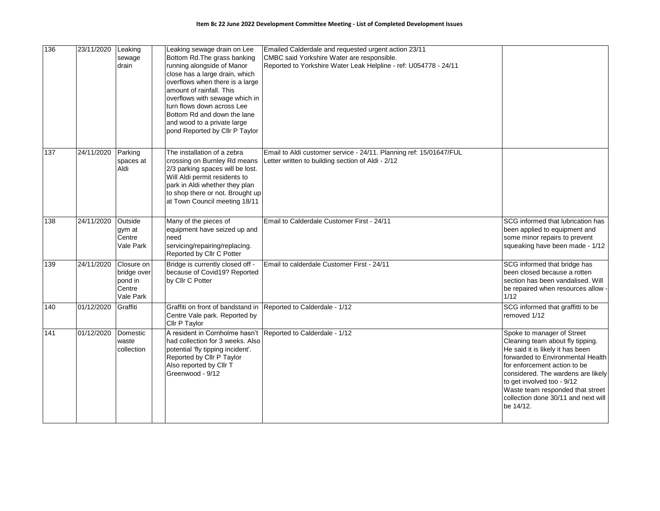| 136 | 23/11/2020 | Leaking<br>sewage<br>drain                                  | Leaking sewage drain on Lee<br>Bottom Rd. The grass banking<br>running alongside of Manor<br>close has a large drain, which<br>overflows when there is a large<br>amount of rainfall. This<br>overflows with sewage which in<br>turn flows down across Lee<br>Bottom Rd and down the lane<br>and wood to a private large<br>pond Reported by Cllr P Taylor | Emailed Calderdale and requested urgent action 23/11<br>CMBC said Yorkshire Water are responsible.<br>Reported to Yorkshire Water Leak Helpline - ref: U054778 - 24/11 |                                                                                                                                                                                                                                                                                                                                     |
|-----|------------|-------------------------------------------------------------|------------------------------------------------------------------------------------------------------------------------------------------------------------------------------------------------------------------------------------------------------------------------------------------------------------------------------------------------------------|------------------------------------------------------------------------------------------------------------------------------------------------------------------------|-------------------------------------------------------------------------------------------------------------------------------------------------------------------------------------------------------------------------------------------------------------------------------------------------------------------------------------|
| 137 | 24/11/2020 | Parking<br>spaces at<br>Aldi                                | The installation of a zebra<br>crossing on Burnley Rd means<br>2/3 parking spaces will be lost.<br>Will Aldi permit residents to<br>park in Aldi whether they plan<br>to shop there or not. Brought up<br>at Town Council meeting 18/11                                                                                                                    | Email to Aldi customer service - 24/11. Planning ref: 15/01647/FUL<br>Letter written to building section of Aldi - 2/12                                                |                                                                                                                                                                                                                                                                                                                                     |
| 138 | 24/11/2020 | Outside<br>gym at<br>Centre<br>Vale Park                    | Many of the pieces of<br>equipment have seized up and<br>need<br>servicing/repairing/replacing.<br>Reported by Cllr C Potter                                                                                                                                                                                                                               | Email to Calderdale Customer First - 24/11                                                                                                                             | SCG informed that lubrication has<br>been applied to equipment and<br>some minor repairs to prevent<br>squeaking have been made - 1/12                                                                                                                                                                                              |
| 139 | 24/11/2020 | Closure on<br>bridge over<br>pond in<br>Centre<br>Vale Park | Bridge is currently closed off -<br>because of Covid19? Reported<br>by Cllr C Potter                                                                                                                                                                                                                                                                       | Email to calderdale Customer First - 24/11                                                                                                                             | SCG informed that bridge has<br>been closed because a rotten<br>section has been vandalised. Will<br>be repaired when resources allow -<br>1/12                                                                                                                                                                                     |
| 140 | 01/12/2020 | Graffiti                                                    | Centre Vale park. Reported by<br>Cllr P Taylor                                                                                                                                                                                                                                                                                                             | Graffiti on front of bandstand in Reported to Calderdale - 1/12                                                                                                        | SCG informed that graffitti to be<br>removed 1/12                                                                                                                                                                                                                                                                                   |
| 141 | 01/12/2020 | Domestic<br>waste<br>collection                             | had collection for 3 weeks. Also<br>potential 'fly tipping incident'.<br>Reported by Cllr P Taylor<br>Also reported by Cllr T<br>Greenwood - 9/12                                                                                                                                                                                                          | A resident in Cornholme hasn't Reported to Calderdale - 1/12                                                                                                           | Spoke to manager of Street<br>Cleaning team about fly tipping.<br>He said it is likely it has been<br>forwarded to Environmental Health<br>for enforcement action to be<br>considered. The wardens are likely<br>to get involved too - 9/12<br>Waste team responded that street<br>collection done 30/11 and next will<br>be 14/12. |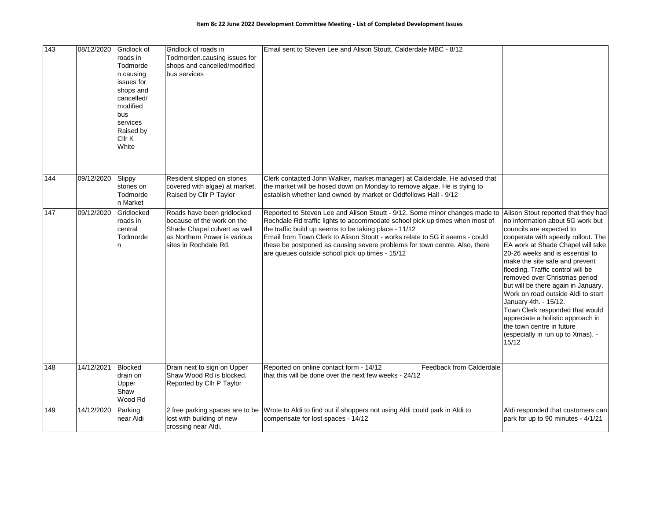| 143 | 08/12/2020 | Gridlock of<br>roads in<br>Todmorde<br>n.causing<br>issues for<br>shops and<br>cancelled/<br>modified<br>bus<br>services<br>Raised by<br>Cllr K<br>White | Gridlock of roads in<br>Todmorden.causing issues for<br>shops and cancelled/modified<br>bus services                                              | Email sent to Steven Lee and Alison Stoutt, Calderdale MBC - 8/12                                                                                                                                                                                                                                                                                                                                                                    |                                                                                                                                                                                                                                                                                                                                                                                                                                                                                                                                                                                    |
|-----|------------|----------------------------------------------------------------------------------------------------------------------------------------------------------|---------------------------------------------------------------------------------------------------------------------------------------------------|--------------------------------------------------------------------------------------------------------------------------------------------------------------------------------------------------------------------------------------------------------------------------------------------------------------------------------------------------------------------------------------------------------------------------------------|------------------------------------------------------------------------------------------------------------------------------------------------------------------------------------------------------------------------------------------------------------------------------------------------------------------------------------------------------------------------------------------------------------------------------------------------------------------------------------------------------------------------------------------------------------------------------------|
| 144 | 09/12/2020 | Slippy<br>stones on<br>Todmorde<br>n Market                                                                                                              | Resident slipped on stones<br>covered with algae) at market.<br>Raised by Cllr P Taylor                                                           | Clerk contacted John Walker, market manager) at Calderdale. He advised that<br>the market will be hosed down on Monday to remove algae. He is trying to<br>establish whether land owned by market or Oddfellows Hall - 9/12                                                                                                                                                                                                          |                                                                                                                                                                                                                                                                                                                                                                                                                                                                                                                                                                                    |
| 147 | 09/12/2020 | Gridlocked<br>roads in<br>central<br>Todmorde<br>n                                                                                                       | Roads have been gridlocked<br>because of the work on the<br>Shade Chapel culvert as well<br>as Northern Power is various<br>sites in Rochdale Rd. | Reported to Steven Lee and Alison Stoutt - 9/12. Some minor changes made to<br>Rochdale Rd traffic lights to accommodate school pick up times when most of<br>the traffic build up seems to be taking place - 11/12<br>Email from Town Clerk to Alison Stoutt - works relate to 5G it seems - could<br>these be postponed as causing severe problems for town centre. Also, there<br>are queues outside school pick up times - 15/12 | Alison Stout reported that they had<br>no information about 5G work but<br>councils are expected to<br>cooperate with speedy rollout. The<br>EA work at Shade Chapel will take<br>20-26 weeks and is essential to<br>make the site safe and prevent<br>flooding. Traffic control will be<br>removed over Christmas period<br>but will be there again in January.<br>Work on road outside Aldi to start<br>January 4th. - 15/12.<br>Town Clerk responded that would<br>appreciate a holistic approach in<br>the town centre in future<br>(especially in run up to Xmas). -<br>15/12 |
| 148 | 14/12/2021 | <b>Blocked</b><br>drain on<br>Upper<br>Shaw<br>Wood Rd                                                                                                   | Drain next to sign on Upper<br>Shaw Wood Rd is blocked.<br>Reported by Cllr P Taylor                                                              | Reported on online contact form - 14/12<br>Feedback from Calderdale<br>that this will be done over the next few weeks - 24/12                                                                                                                                                                                                                                                                                                        |                                                                                                                                                                                                                                                                                                                                                                                                                                                                                                                                                                                    |
| 149 | 14/12/2020 | Parking<br>near Aldi                                                                                                                                     | 2 free parking spaces are to be<br>lost with building of new<br>crossing near Aldi.                                                               | Wrote to Aldi to find out if shoppers not using Aldi could park in Aldi to<br>compensate for lost spaces - 14/12                                                                                                                                                                                                                                                                                                                     | Aldi responded that customers can<br>park for up to 90 minutes $-4/1/21$                                                                                                                                                                                                                                                                                                                                                                                                                                                                                                           |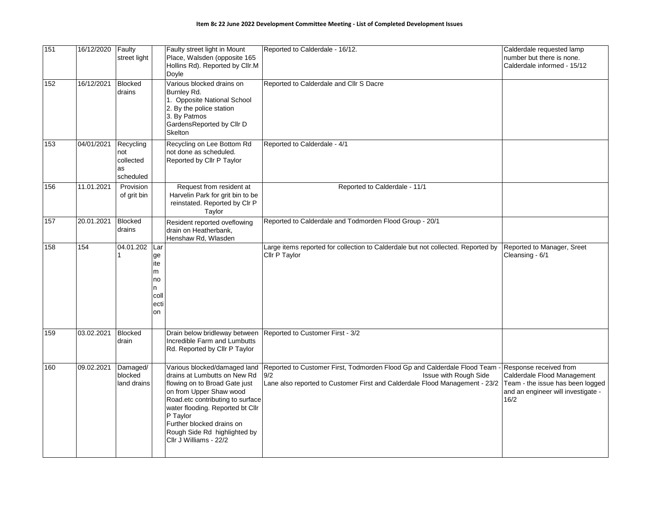| 151 | 16/12/2020 | Faulty<br>street light                           |                                                        | Faulty street light in Mount<br>Place, Walsden (opposite 165<br>Hollins Rd). Reported by Cllr.M<br>Doyle                                                                                                                                                                                            | Reported to Calderdale - 16/12.                                                                                                                                                         | Calderdale requested lamp<br>number but there is none.<br>Calderdale informed - 15/12                                                   |
|-----|------------|--------------------------------------------------|--------------------------------------------------------|-----------------------------------------------------------------------------------------------------------------------------------------------------------------------------------------------------------------------------------------------------------------------------------------------------|-----------------------------------------------------------------------------------------------------------------------------------------------------------------------------------------|-----------------------------------------------------------------------------------------------------------------------------------------|
| 152 | 16/12/2021 | <b>Blocked</b><br>drains                         |                                                        | Various blocked drains on<br>Burnley Rd.<br>1. Opposite National School<br>2. By the police station<br>3. By Patmos<br>GardensReported by Cllr D<br>Skelton                                                                                                                                         | Reported to Calderdale and Cllr S Dacre                                                                                                                                                 |                                                                                                                                         |
| 153 | 04/01/2021 | Recycling<br>not<br>collected<br>as<br>scheduled |                                                        | Recycling on Lee Bottom Rd<br>not done as scheduled.<br>Reported by Cllr P Taylor                                                                                                                                                                                                                   | Reported to Calderdale - 4/1                                                                                                                                                            |                                                                                                                                         |
| 156 | 11.01.2021 | Provision<br>of grit bin                         |                                                        | Request from resident at<br>Harvelin Park for grit bin to be<br>reinstated. Reported by Clr P<br>Taylor                                                                                                                                                                                             | Reported to Calderdale - 11/1                                                                                                                                                           |                                                                                                                                         |
| 157 | 20.01.2021 | <b>Blocked</b><br>drains                         |                                                        | Resident reported oveflowing<br>drain on Heatherbank.<br>Henshaw Rd, Wlasden                                                                                                                                                                                                                        | Reported to Calderdale and Todmorden Flood Group - 20/1                                                                                                                                 |                                                                                                                                         |
| 158 | 154        | 04.01.202<br>1                                   | Lar<br>ge<br>ite<br>m<br>no<br>n<br>coll<br>ecti<br>on |                                                                                                                                                                                                                                                                                                     | Large items reported for collection to Calderdale but not collected. Reported by<br>Cllr P Taylor                                                                                       | Reported to Manager, Sreet<br>Cleansing - 6/1                                                                                           |
| 159 | 03.02.2021 | <b>Blocked</b><br>drain                          |                                                        | Drain below bridleway between<br>Incredible Farm and Lumbutts<br>Rd. Reported by Cllr P Taylor                                                                                                                                                                                                      | Reported to Customer First - 3/2                                                                                                                                                        |                                                                                                                                         |
| 160 | 09.02.2021 | Damaged/<br>blocked<br>land drains               |                                                        | Various blocked/damaged land<br>drains at Lumbutts on New Rd<br>flowing on to Broad Gate just<br>on from Upper Shaw wood<br>Road.etc contributing to surface<br>water flooding. Reported bt Cllr<br>P Taylor<br>Further blocked drains on<br>Rough Side Rd highlighted by<br>Cllr J Williams - 22/2 | Reported to Customer First, Todmorden Flood Gp and Calderdale Flood Team<br>9/2<br>Issue with Rough Side<br>Lane also reported to Customer First and Calderdale Flood Management - 23/2 | Response received from<br>Calderdale Flood Management<br>Team - the issue has been logged<br>and an engineer will investigate -<br>16/2 |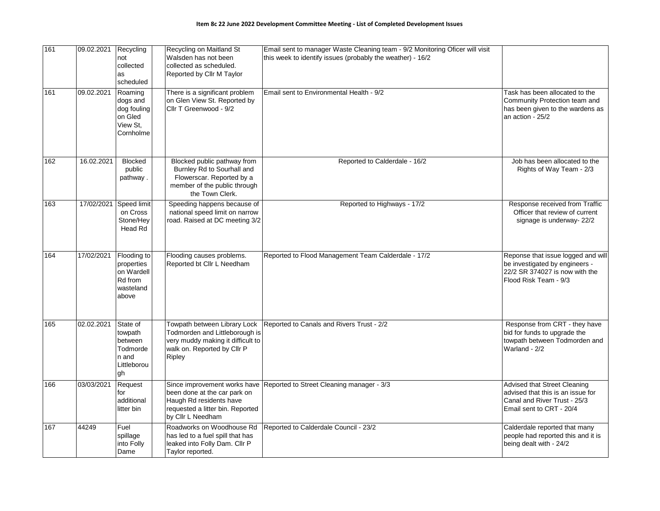| 161 | 09.02.2021 | Recycling<br>not<br>collected<br>as<br>scheduled                         | Recycling on Maitland St<br>Walsden has not been<br>collected as scheduled.<br>Reported by Cllr M Taylor                                         | Email sent to manager Waste Cleaning team - 9/2 Monitoring Oficer will visit<br>this week to identify issues (probably the weather) - 16/2 |                                                                                                                                 |
|-----|------------|--------------------------------------------------------------------------|--------------------------------------------------------------------------------------------------------------------------------------------------|--------------------------------------------------------------------------------------------------------------------------------------------|---------------------------------------------------------------------------------------------------------------------------------|
| 161 | 09.02.2021 | Roaming<br>dogs and<br>dog fouling<br>on Gled<br>View St,<br>Cornholme   | There is a significant problem<br>on Glen View St. Reported by<br>Cllr T Greenwood - 9/2                                                         | Email sent to Environmental Health - 9/2                                                                                                   | Task has been allocated to the<br>Community Protection team and<br>has been given to the wardens as<br>an action - 25/2         |
| 162 | 16.02.2021 | <b>Blocked</b><br>public<br>pathway.                                     | Blocked public pathway from<br>Burnley Rd to Sourhall and<br>Flowerscar. Reported by a<br>member of the public through<br>the Town Clerk.        | Reported to Calderdale - 16/2                                                                                                              | Job has been allocated to the<br>Rights of Way Team - 2/3                                                                       |
| 163 | 17/02/2021 | Speed limit<br>on Cross<br>Stone/Hey<br>Head Rd                          | Speeding happens because of<br>national speed limit on narrow<br>road. Raised at DC meeting 3/2                                                  | Reported to Highways - 17/2                                                                                                                | Response received from Traffic<br>Officer that review of current<br>signage is underway-22/2                                    |
| 164 | 17/02/2021 | Flooding to<br>properties<br>on Wardell<br>Rd from<br>wasteland<br>above | Flooding causes problems.<br>Reported bt Cllr L Needham                                                                                          | Reported to Flood Management Team Calderdale - 17/2                                                                                        | Reponse that issue logged and will<br>be investigated by engineers -<br>22/2 SR 374027 is now with the<br>Flood Risk Team - 9/3 |
| 165 | 02.02.2021 | State of<br>towpath<br>between<br>Todmorde<br>n and<br>Littleborou<br>gh | Towpath between Library Lock<br>Todmorden and Littleborough is<br>very muddy making it difficult to<br>walk on. Reported by Cllr P<br>Ripley     | Reported to Canals and Rivers Trust - 2/2                                                                                                  | Response from CRT - they have<br>bid for funds to upgrade the<br>towpath between Todmorden and<br>Warland - 2/2                 |
| 166 | 03/03/2021 | Request<br>for<br>additional<br>litter bin                               | Since improvement works have<br>been done at the car park on<br>Haugh Rd residents have<br>requested a litter bin. Reported<br>by Cllr L Needham | Reported to Street Cleaning manager - 3/3                                                                                                  | Advised that Street Cleaning<br>advised that this is an issue for<br>Canal and River Trust - 25/3<br>Email sent to CRT - 20/4   |
| 167 | 44249      | Fuel<br>spillage<br>into Folly<br>Dame                                   | Roadworks on Woodhouse Rd<br>has led to a fuel spill that has<br>leaked into Folly Dam. Cllr P<br>Taylor reported.                               | Reported to Calderdale Council - 23/2                                                                                                      | Calderdale reported that many<br>people had reported this and it is<br>being dealt with - 24/2                                  |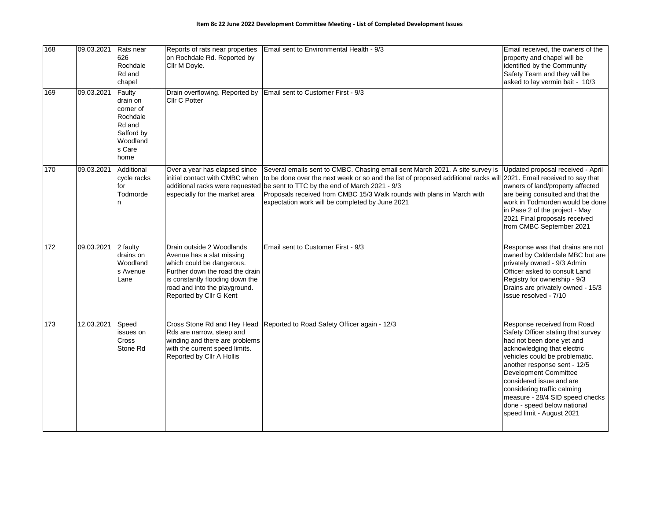| 168             | 09.03.2021 | Rats near<br>626<br>Rochdale<br>Rd and<br>chapel                                                  | Reports of rats near properties<br>on Rochdale Rd. Reported by<br>Cllr M Doyle.                                                                                                                                       | Email sent to Environmental Health - 9/3                                                                                                                                                                                                                                                                                                                                                                          | Email received, the owners of the<br>property and chapel will be<br>identified by the Community<br>Safety Team and they will be<br>asked to lay vermin bait - 10/3                                                                                                                                                                                                                 |
|-----------------|------------|---------------------------------------------------------------------------------------------------|-----------------------------------------------------------------------------------------------------------------------------------------------------------------------------------------------------------------------|-------------------------------------------------------------------------------------------------------------------------------------------------------------------------------------------------------------------------------------------------------------------------------------------------------------------------------------------------------------------------------------------------------------------|------------------------------------------------------------------------------------------------------------------------------------------------------------------------------------------------------------------------------------------------------------------------------------------------------------------------------------------------------------------------------------|
| 169             | 09.03.2021 | Faulty<br>drain on<br>corner of<br>Rochdale<br>Rd and<br>Salford by<br>Woodland<br>s Care<br>home | Drain overflowing. Reported by<br>Cllr C Potter                                                                                                                                                                       | Email sent to Customer First - 9/3                                                                                                                                                                                                                                                                                                                                                                                |                                                                                                                                                                                                                                                                                                                                                                                    |
| 170             | 09.03.2021 | Additional<br>cycle racks<br>for<br>Todmorde                                                      | Over a year has elapsed since<br>initial contact with CMBC when<br>especially for the market area                                                                                                                     | Several emails sent to CMBC. Chasing email sent March 2021. A site survey is<br>to be done over the next week or so and the list of proposed additional racks will 2021. Email received to say that<br>additional racks were requested be sent to TTC by the end of March 2021 - 9/3<br>Proposals received from CMBC 15/3 Walk rounds with plans in March with<br>expectation work will be completed by June 2021 | Updated proposal received - April<br>owners of land/property affected<br>are being consulted and that the<br>work in Todmorden would be done<br>in Pase 2 of the project - May<br>2021 Final proposals received<br>from CMBC September 2021                                                                                                                                        |
| $\frac{1}{172}$ | 09.03.2021 | 2 faulty<br>drains on<br>Woodland<br>s Avenue<br>Lane                                             | Drain outside 2 Woodlands<br>Avenue has a slat missing<br>which could be dangerous.<br>Further down the road the drain<br>is constantly flooding down the<br>road and into the playground.<br>Reported by Cllr G Kent | Email sent to Customer First - 9/3                                                                                                                                                                                                                                                                                                                                                                                | Response was that drains are not<br>owned by Calderdale MBC but are<br>privately owned - 9/3 Admin<br>Officer asked to consult Land<br>Registry for ownership - 9/3<br>Drains are privately owned - 15/3<br>Issue resolved - 7/10                                                                                                                                                  |
| 173             | 12.03.2021 | Speed<br>issues on<br><b>Cross</b><br>Stone Rd                                                    | Cross Stone Rd and Hey Head<br>Rds are narrow, steep and<br>winding and there are problems<br>with the current speed limits.<br>Reported by Cllr A Hollis                                                             | Reported to Road Safety Officer again - 12/3                                                                                                                                                                                                                                                                                                                                                                      | Response received from Road<br>Safety Officer stating that survey<br>had not been done yet and<br>acknowledging that electric<br>vehicles could be problematic.<br>another response sent - 12/5<br>Development Committee<br>considered issue and are<br>considering traffic calming<br>measure - 28/4 SID speed checks<br>done - speed below national<br>speed limit - August 2021 |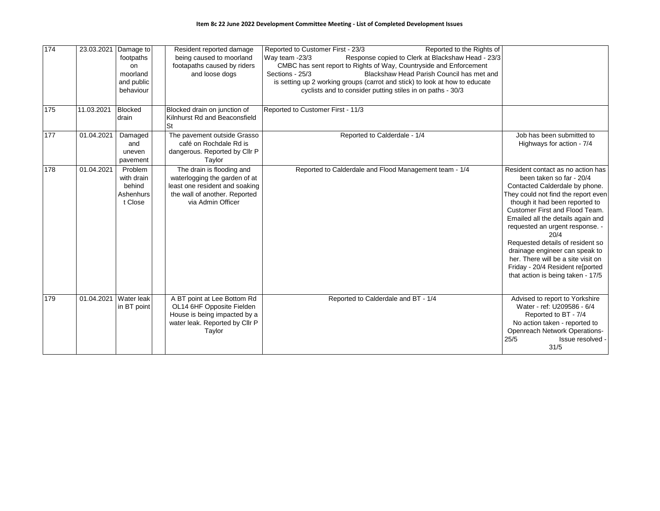| 174 |            | 23.03.2021 Damage to<br>footpaths<br>on<br>moorland<br>and public<br>behaviour | Resident reported damage<br>being caused to moorland<br>footapaths caused by riders<br>and loose dogs                                              | Reported to Customer First - 23/3<br>Reported to the Rights of<br>Response copied to Clerk at Blackshaw Head - 23/3<br>Way team -23/3<br>CMBC has sent report to Rights of Way, Countryside and Enforcement<br>Blackshaw Head Parish Council has met and<br>Sections - 25/3<br>is setting up 2 working groups (carrot and stick) to look at how to educate<br>cyclists and to consider putting stiles in on paths - 30/3 |                                                                                                                                                                                                                                                                                                                                                                                                                                                                                 |
|-----|------------|--------------------------------------------------------------------------------|----------------------------------------------------------------------------------------------------------------------------------------------------|--------------------------------------------------------------------------------------------------------------------------------------------------------------------------------------------------------------------------------------------------------------------------------------------------------------------------------------------------------------------------------------------------------------------------|---------------------------------------------------------------------------------------------------------------------------------------------------------------------------------------------------------------------------------------------------------------------------------------------------------------------------------------------------------------------------------------------------------------------------------------------------------------------------------|
| 175 | 11.03.2021 | <b>Blocked</b><br>drain                                                        | Blocked drain on junction of<br>Kilnhurst Rd and Beaconsfield<br>St                                                                                | Reported to Customer First - 11/3                                                                                                                                                                                                                                                                                                                                                                                        |                                                                                                                                                                                                                                                                                                                                                                                                                                                                                 |
| 177 | 01.04.2021 | Damaged<br>and<br>uneven<br>pavement                                           | The pavement outside Grasso<br>café on Rochdale Rd is<br>dangerous. Reported by Cllr P<br>Taylor                                                   | Reported to Calderdale - 1/4                                                                                                                                                                                                                                                                                                                                                                                             | Job has been submitted to<br>Highways for action - 7/4                                                                                                                                                                                                                                                                                                                                                                                                                          |
| 178 | 01.04.2021 | Problem<br>with drain<br>behind<br>Ashenhurs<br>t Close                        | The drain is flooding and<br>waterlogging the garden of at<br>least one resident and soaking<br>the wall of another. Reported<br>via Admin Officer | Reported to Calderdale and Flood Management team - 1/4                                                                                                                                                                                                                                                                                                                                                                   | Resident contact as no action has<br>been taken so far - 20/4<br>Contacted Calderdale by phone.<br>They could not find the report even<br>though it had been reported to<br>Customer First and Flood Team.<br>Emailed all the details again and<br>requested an urgent response. -<br>20/4<br>Requested details of resident so<br>drainage engineer can speak to<br>her. There will be a site visit on<br>Friday - 20/4 Resident re[ported<br>that action is being taken - 17/5 |
| 179 |            | 01.04.2021 Water leak<br>in BT point                                           | A BT point at Lee Bottom Rd<br>OL14 6HF Opposite Fielden<br>House is being impacted by a<br>water leak. Reported by Cllr P<br>Taylor               | Reported to Calderdale and BT - 1/4                                                                                                                                                                                                                                                                                                                                                                                      | Advised to report to Yorkshire<br>Water - ref: U209586 - 6/4<br>Reported to BT - 7/4<br>No action taken - reported to<br><b>Openreach Network Operations-</b><br>25/5<br>Issue resolved -<br>31/5                                                                                                                                                                                                                                                                               |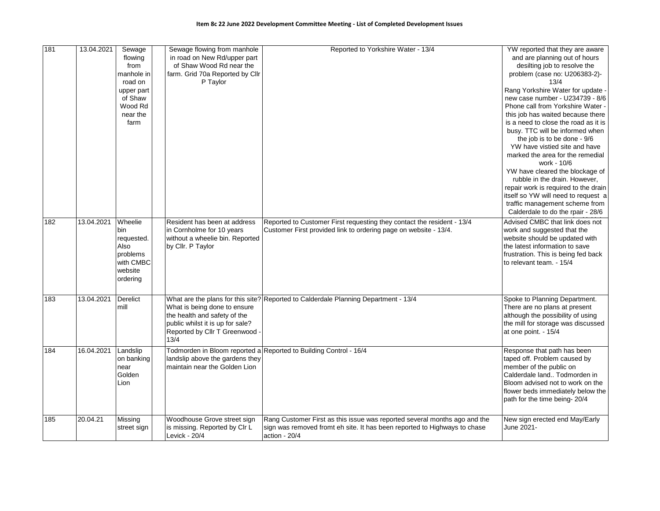| 181 | 13.04.2021 | Sewage<br>flowing<br>from<br>manhole in<br>road on<br>upper part<br>of Shaw<br>Wood Rd<br>near the<br>farm | Sewage flowing from manhole<br>in road on New Rd/upper part<br>of Shaw Wood Rd near the<br>farm. Grid 70a Reported by Cllr<br>P Taylor     | Reported to Yorkshire Water - 13/4                                                                                                                                        | YW reported that they are aware<br>and are planning out of hours<br>desilting job to resolve the<br>problem (case no: U206383-2)-<br>13/4<br>Rang Yorkshire Water for update -<br>new case number - U234739 - 8/6<br>Phone call from Yorkshire Water -<br>this job has waited because there<br>is a need to close the road as it is<br>busy. TTC will be informed when<br>the job is to be done - 9/6 |
|-----|------------|------------------------------------------------------------------------------------------------------------|--------------------------------------------------------------------------------------------------------------------------------------------|---------------------------------------------------------------------------------------------------------------------------------------------------------------------------|-------------------------------------------------------------------------------------------------------------------------------------------------------------------------------------------------------------------------------------------------------------------------------------------------------------------------------------------------------------------------------------------------------|
|     |            |                                                                                                            |                                                                                                                                            |                                                                                                                                                                           | YW have vistied site and have<br>marked the area for the remedial<br>work - 10/6<br>YW have cleared the blockage of<br>rubble in the drain. However,<br>repair work is required to the drain<br>itself so YW will need to request a<br>traffic management scheme from<br>Calderdale to do the rpair - 28/6                                                                                            |
| 182 | 13.04.2021 | Wheelie<br>bin<br>requested.<br>Also<br>problems<br>with CMBC<br>website<br>ordering                       | Resident has been at address<br>in Cornholme for 10 years<br>without a wheelie bin. Reported<br>by Cllr. P Taylor                          | Reported to Customer First requesting they contact the resident - 13/4<br>Customer First provided link to ordering page on website - 13/4.                                | Advised CMBC that link does not<br>work and suggested that the<br>website should be updated with<br>the latest information to save<br>frustration. This is being fed back<br>to relevant team. - 15/4                                                                                                                                                                                                 |
| 183 | 13.04.2021 | Derelict<br>mill                                                                                           | What is being done to ensure<br>the health and safety of the<br>public whilst it is up for sale?<br>Reported by Cllr T Greenwood -<br>13/4 | What are the plans for this site? Reported to Calderdale Planning Department - 13/4                                                                                       | Spoke to Planning Department.<br>There are no plans at present<br>although the possibility of using<br>the mill for storage was discussed<br>at one point. - 15/4                                                                                                                                                                                                                                     |
| 184 | 16.04.2021 | Landslip<br>on banking<br>near<br>Golden<br>Lion                                                           | landslip above the gardens they<br>maintain near the Golden Lion                                                                           | Todmorden in Bloom reported a Reported to Building Control - 16/4                                                                                                         | Response that path has been<br>taped off. Problem caused by<br>member of the public on<br>Calderdale land Todmorden in<br>Bloom advised not to work on the<br>flower beds immediately below the<br>path for the time being-20/4                                                                                                                                                                       |
| 185 | 20.04.21   | Missing<br>street sign                                                                                     | Woodhouse Grove street sign<br>is missing. Reported by CIr L<br>Levick - 20/4                                                              | Rang Customer First as this issue was reported several months ago and the<br>sign was removed fromt eh site. It has been reported to Highways to chase<br>action - $20/4$ | New sign erected end May/Early<br>June 2021-                                                                                                                                                                                                                                                                                                                                                          |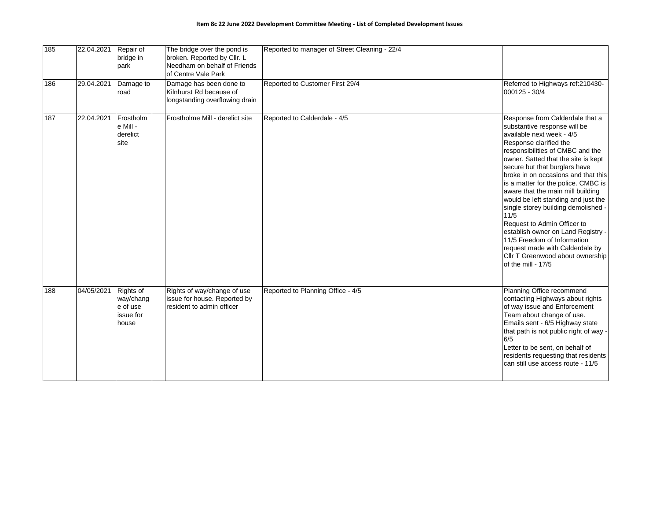| 185 | 22.04.2021 | Repair of<br>bridge in<br>park                           | The bridge over the pond is<br>broken. Reported by Cllr. L<br>Needham on behalf of Friends<br>of Centre Vale Park | Reported to manager of Street Cleaning - 22/4 |                                                                                                                                                                                                                                                                                                                                                                                                                                                                                                                                                                                                                                              |
|-----|------------|----------------------------------------------------------|-------------------------------------------------------------------------------------------------------------------|-----------------------------------------------|----------------------------------------------------------------------------------------------------------------------------------------------------------------------------------------------------------------------------------------------------------------------------------------------------------------------------------------------------------------------------------------------------------------------------------------------------------------------------------------------------------------------------------------------------------------------------------------------------------------------------------------------|
| 186 | 29.04.2021 | Damage to<br>road                                        | Damage has been done to<br>Kilnhurst Rd because of<br>longstanding overflowing drain                              | Reported to Customer First 29/4               | Referred to Highways ref: 210430-<br>000125 - 30/4                                                                                                                                                                                                                                                                                                                                                                                                                                                                                                                                                                                           |
| 187 | 22.04.2021 | Frostholm<br>e Mill -<br>derelict<br>site                | Frostholme Mill - derelict site                                                                                   | Reported to Calderdale - 4/5                  | Response from Calderdale that a<br>substantive response will be<br>available next week - 4/5<br>Response clarified the<br>responsibilities of CMBC and the<br>owner. Satted that the site is kept<br>secure but that burglars have<br>broke in on occasions and that this<br>is a matter for the police. CMBC is<br>aware that the main mill building<br>would be left standing and just the<br>single storey building demolished -<br>11/5<br>Request to Admin Officer to<br>establish owner on Land Registry -<br>11/5 Freedom of Information<br>request made with Calderdale by<br>Cllr T Greenwood about ownership<br>of the mill - 17/5 |
| 188 | 04/05/2021 | Rights of<br>way/chang<br>e of use<br>issue for<br>house | Rights of way/change of use<br>issue for house. Reported by<br>resident to admin officer                          | Reported to Planning Office - 4/5             | Planning Office recommend<br>contacting Highways about rights<br>of way issue and Enforcement<br>Team about change of use.<br>Emails sent - 6/5 Highway state<br>that path is not public right of way -<br>6/5<br>Letter to be sent, on behalf of<br>residents requesting that residents<br>can still use access route - 11/5                                                                                                                                                                                                                                                                                                                |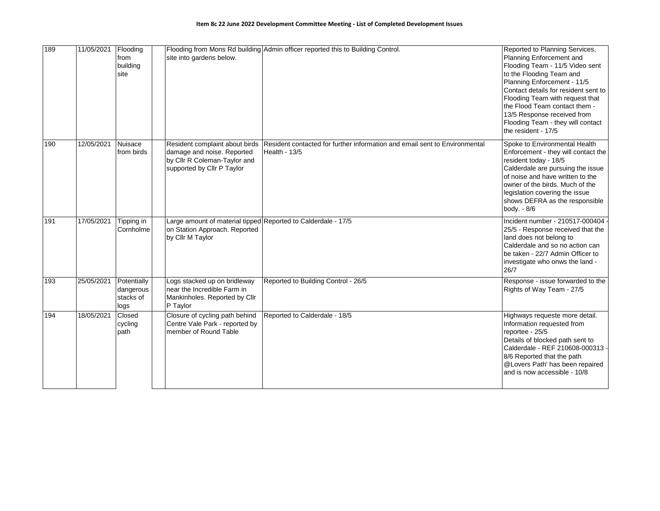| 189 | 11/05/2021 | Flooding<br>from<br>building<br>site          | site into gardens below.                                                                                                   | Flooding from Mons Rd building Admin officer reported this to Building Control.             | Reported to Planning Services,<br>Planning Enforcement and<br>Flooding Team - 11/5 Video sent<br>to the Flooding Team and<br>Planning Enforcement - 11/5<br>Contact details for resident sent to<br>Flooding Team with request that<br>the Flood Team contact them -<br>13/5 Response received from<br>Flooding Team - they will contact<br>the resident - 17/5 |
|-----|------------|-----------------------------------------------|----------------------------------------------------------------------------------------------------------------------------|---------------------------------------------------------------------------------------------|-----------------------------------------------------------------------------------------------------------------------------------------------------------------------------------------------------------------------------------------------------------------------------------------------------------------------------------------------------------------|
| 190 | 12/05/2021 | Nuisace<br>from birds                         | Resident complaint about birds<br>damage and noise. Reported<br>by Cllr R Coleman-Taylor and<br>supported by Cllr P Taylor | Resident contacted for further information and email sent to Environmental<br>Health - 13/5 | Spoke to Environmental Health<br>Enforcement - they will contact the<br>resident today - 18/5<br>Calderdale are pursuing the issue<br>of noise and have written to the<br>owner of the birds. Much of the<br>legislation covering the issue<br>shows DEFRA as the responsible<br>body. - 8/6                                                                    |
| 191 | 17/05/2021 | Tipping in<br>Cornholme                       | Large amount of material tipped Reported to Calderdale - 17/5<br>on Station Approach. Reported<br>by Cllr M Taylor         |                                                                                             | Incident number - 210517-000404<br>25/5 - Response received that the<br>land does not belong to<br>Calderdale and so no action can<br>be taken - 22/7 Admin Officer to<br>investigate who onws the land -<br>26/7                                                                                                                                               |
| 193 | 25/05/2021 | Potentially<br>dangerous<br>stacks of<br>logs | Logs stacked up on bridleway<br>near the Incredible Farm in<br>Mankinholes. Reported by Cllr<br>P Taylor                   | Reported to Building Control - 26/5                                                         | Response - issue forwarded to the<br>Rights of Way Team - 27/5                                                                                                                                                                                                                                                                                                  |
| 194 | 18/05/2021 | Closed<br>cycling<br>path                     | Closure of cycling path behind<br>Centre Vale Park - reported by<br>member of Round Table                                  | Reported to Calderdale - 18/5                                                               | Highways requeste more detail.<br>Information requested from<br>reportee - 25/5<br>Details of blocked path sent to<br>Calderdale - REF 210608-000313<br>8/6 Reported that the path<br>@Lovers Path' has been repaired<br>and is now accessible - 10/8                                                                                                           |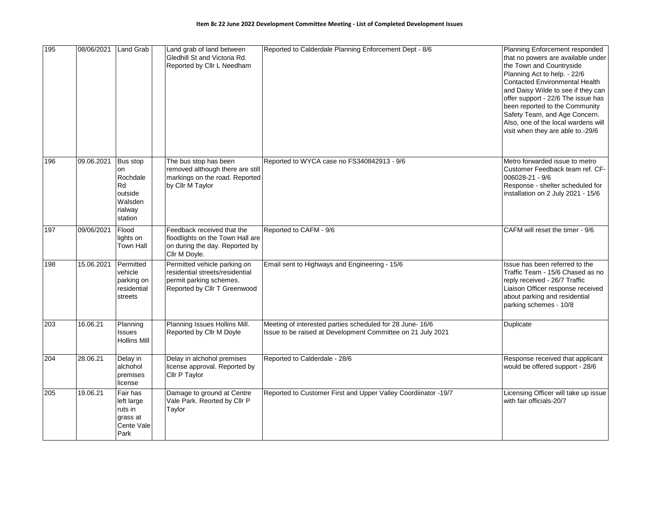| 195 | 08/06/2021 | Land Grab                                                                    | Land grab of land between<br>Gledhill St and Victoria Rd.<br>Reported by Cllr L Needham                                    | Reported to Calderdale Planning Enforcement Dept - 8/6                                                                   | Planning Enforcement responded<br>that no powers are available under<br>the Town and Countryside<br>Planning Act to help. - 22/6<br><b>Contacted Environmental Health</b><br>and Daisy Wilde to see if they can<br>offer support - 22/6 The issue has<br>been reported to the Community<br>Safety Team, and Age Concern.<br>Also, one of the local wardens will<br>visit when they are able to.-29/6 |
|-----|------------|------------------------------------------------------------------------------|----------------------------------------------------------------------------------------------------------------------------|--------------------------------------------------------------------------------------------------------------------------|------------------------------------------------------------------------------------------------------------------------------------------------------------------------------------------------------------------------------------------------------------------------------------------------------------------------------------------------------------------------------------------------------|
| 196 | 09.06.2021 | Bus stop<br>on<br>Rochdale<br>Rd<br>outside<br>Walsden<br>rialway<br>station | The bus stop has been<br>removed although there are still<br>markings on the road. Reported<br>by Cllr M Taylor            | Reported to WYCA case no FS340842913 - 9/6                                                                               | Metro forwarded issue to metro<br>Customer Feedback team ref. CF-<br>006028-21 - 9/6<br>Response - shelter scheduled for<br>installation on 2 July 2021 - 15/6                                                                                                                                                                                                                                       |
| 197 | 09/06/2021 | Flood<br>lights on<br>Town Hall                                              | Feedback received that the<br>floodlights on the Town Hall are<br>on during the day. Reported by<br>Cllr M Doyle.          | Reported to CAFM - 9/6                                                                                                   | CAFM will reset the timer - 9/6                                                                                                                                                                                                                                                                                                                                                                      |
| 198 | 15.06.2021 | Permitted<br>vehicle<br>parking on<br>residential<br>streets                 | Permitted vehicle parking on<br>residential streets/residential<br>permit parking schemes.<br>Reported by Cllr T Greenwood | Email sent to Highways and Engineering - 15/6                                                                            | Issue has been referred to the<br>Traffic Team - 15/6 Chased as no<br>reply received - 26/7 Traffic<br>Liaison Officer response received<br>about parking and residential<br>parking schemes - 10/8                                                                                                                                                                                                  |
| 203 | 16.06.21   | Planning<br>Issues<br><b>Hollins Mill</b>                                    | Planning Issues Hollins Mill.<br>Reported by Cllr M Doyle                                                                  | Meeting of interested parties scheduled for 28 June- 16/6<br>Issue to be raised at Development Committee on 21 July 2021 | Duplicate                                                                                                                                                                                                                                                                                                                                                                                            |
| 204 | 28.06.21   | Delay in<br>alchohol<br>premises<br>license                                  | Delay in alchohol premises<br>license approval. Reported by<br>Cllr P Taylor                                               | Reported to Calderdale - 28/6                                                                                            | Response received that applicant<br>would be offered support - 28/6                                                                                                                                                                                                                                                                                                                                  |
| 205 | 19.06.21   | Fair has<br>left large<br>ruts in<br>grass at<br>Cente Vale<br>Park          | Damage to ground at Centre<br>Vale Park. Reorted by Cllr P<br>Taylor                                                       | Reported to Customer First and Upper Valley Coordiinator -19/7                                                           | Licensing Officer will take up issue<br>with fair officials-20/7                                                                                                                                                                                                                                                                                                                                     |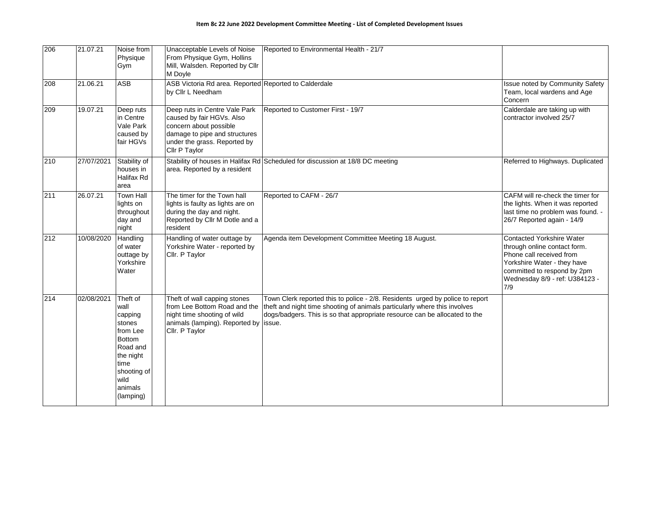| 206 | 21.07.21   | Noise from<br>Physique<br>Gym                                                                                                                      | Unacceptable Levels of Noise<br>From Physique Gym, Hollins<br>Mill, Walsden. Reported by Cllr<br>M Doyle                                                               | Reported to Environmental Health - 21/7                                                                                                                                                                                                  |                                                                                                                                                                                                     |
|-----|------------|----------------------------------------------------------------------------------------------------------------------------------------------------|------------------------------------------------------------------------------------------------------------------------------------------------------------------------|------------------------------------------------------------------------------------------------------------------------------------------------------------------------------------------------------------------------------------------|-----------------------------------------------------------------------------------------------------------------------------------------------------------------------------------------------------|
| 208 | 21.06.21   | <b>ASB</b>                                                                                                                                         | ASB Victoria Rd area. Reported Reported to Calderdale<br>by Cllr L Needham                                                                                             |                                                                                                                                                                                                                                          | Issue noted by Community Safety<br>Team, local wardens and Age<br>Concern                                                                                                                           |
| 209 | 19.07.21   | Deep ruts<br>in Centre<br>Vale Park<br>caused by<br>fair HGVs                                                                                      | Deep ruts in Centre Vale Park<br>caused by fair HGVs. Also<br>concern about possible<br>damage to pipe and structures<br>under the grass. Reported by<br>Cllr P Taylor | Reported to Customer First - 19/7                                                                                                                                                                                                        | Calderdale are taking up with<br>contractor involved 25/7                                                                                                                                           |
| 210 | 27/07/2021 | Stability of<br>houses in<br><b>Halifax Rd</b><br>area                                                                                             | area. Reported by a resident                                                                                                                                           | Stability of houses in Halifax Rd Scheduled for discussion at 18/8 DC meeting                                                                                                                                                            | Referred to Highways. Duplicated                                                                                                                                                                    |
| 211 | 26.07.21   | <b>Town Hall</b><br>lights on<br>throughout<br>day and<br>night                                                                                    | The timer for the Town hall<br>lights is faulty as lights are on<br>during the day and night.<br>Reported by Cllr M Dotle and a<br>resident                            | Reported to CAFM - 26/7                                                                                                                                                                                                                  | CAFM will re-check the timer for<br>the lights. When it was reported<br>last time no problem was found. -<br>26/7 Reported again - 14/9                                                             |
| 212 | 10/08/2020 | Handling<br>of water<br>outtage by<br>Yorkshire<br>Water                                                                                           | Handling of water outtage by<br>Yorkshire Water - reported by<br>Cllr. P Taylor                                                                                        | Agenda item Development Committee Meeting 18 August.                                                                                                                                                                                     | <b>Contacted Yorkshire Water</b><br>through online contact form.<br>Phone call received from<br>Yorkshire Water - they have<br>committed to respond by 2pm<br>Wednesday 8/9 - ref: U384123 -<br>7/9 |
| 214 | 02/08/2021 | Theft of<br>wall<br>capping<br>stones<br>from Lee<br><b>Bottom</b><br>Road and<br>the night<br>time<br>shooting of<br>wild<br>animals<br>(lamping) | Theft of wall capping stones<br>from Lee Bottom Road and the<br>night time shooting of wild<br>animals (lamping). Reported by   issue.<br>Cllr. P Taylor               | Town Clerk reported this to police - 2/8. Residents urged by police to report<br>theft and night time shooting of animals particularly where this involves<br>dogs/badgers. This is so that appropriate resource can be allocated to the |                                                                                                                                                                                                     |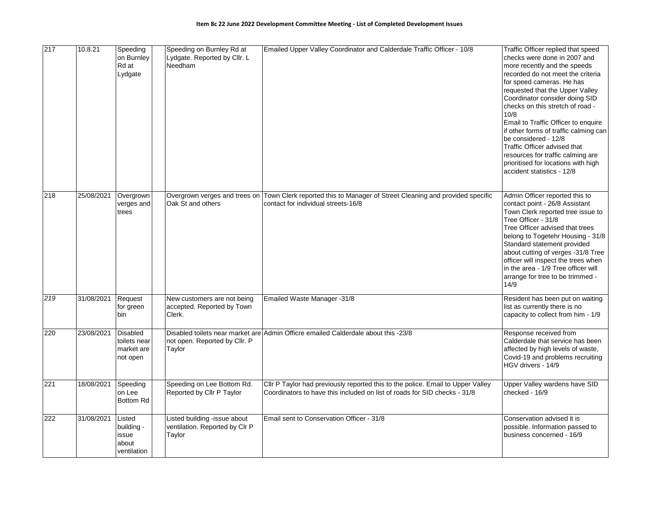| 217 | 10.8.21    | Speeding<br>on Burnley<br>Rd at<br>Lydgate                | Speeding on Burnley Rd at<br>Lydgate. Reported by Cllr. L<br>Needham     | Emailed Upper Valley Coordinator and Calderdale Traffic Officer - 10/8                                                                                       | Traffic Officer replied that speed<br>checks were done in 2007 and<br>more recently and the speeds<br>recorded do not meet the criteria<br>for speed cameras. He has<br>requested that the Upper Valley<br>Coordinator consider doing SID<br>checks on this stretch of road -<br>10/8<br>Email to Traffic Officer to enquire<br>if other forms of traffic calming can<br>be considered - 12/8<br>Traffic Officer advised that<br>resources for traffic calming are<br>prioritised for locations with high<br>accident statistics - 12/8 |
|-----|------------|-----------------------------------------------------------|--------------------------------------------------------------------------|--------------------------------------------------------------------------------------------------------------------------------------------------------------|-----------------------------------------------------------------------------------------------------------------------------------------------------------------------------------------------------------------------------------------------------------------------------------------------------------------------------------------------------------------------------------------------------------------------------------------------------------------------------------------------------------------------------------------|
| 218 | 25/08/2021 | Overgrown<br>verges and<br>trees                          | Overgrown verges and trees on<br>Oak St and others                       | Town Clerk reported this to Manager of Street Cleaning and provided specific<br>contact for individual streets-16/8                                          | Admin Officer reported this to<br>contact point - 26/8 Assistant<br>Town Clerk reported tree issue to<br>Tree Officer - 31/8<br>Tree Officer advised that trees<br>belong to Togetehr Housing - 31/8<br>Standard statement provided<br>about cutting of verges -31/8 Tree<br>officer will inspect the trees when<br>in the area - 1/9 Tree officer will<br>arrange for tree to be trimmed -<br>14/9                                                                                                                                     |
| 219 | 31/08/2021 | Request<br>for green<br><b>bin</b>                        | New customers are not being<br>accepted. Reported by Town<br>Clerk.      | Emailed Waste Manager -31/8                                                                                                                                  | Resident has been put on waiting<br>list as currently there is no<br>capacity to collect from him - 1/9                                                                                                                                                                                                                                                                                                                                                                                                                                 |
| 220 | 23/08/2021 | <b>Disabled</b><br>toilets near<br>market are<br>not open | not open. Reported by Cllr. P<br>Taylor                                  | Disabled toilets near market are Admin Officre emailed Calderdale about this -23/8                                                                           | Response received from<br>Calderdale that service has been<br>affected by high levels of waste,<br>Covid-19 and problems recruiting<br>HGV drivers - 14/9                                                                                                                                                                                                                                                                                                                                                                               |
| 221 | 18/08/2021 | Speeding<br>on Lee<br>Bottom Rd                           | Speeding on Lee Bottom Rd.<br>Reported by Cllr P Taylor                  | Cllr P Taylor had previously reported this to the police. Email to Upper Valley<br>Coordinators to have this included on list of roads for SID checks - 31/8 | Upper Valley wardens have SID<br>checked - 16/9                                                                                                                                                                                                                                                                                                                                                                                                                                                                                         |
| 222 | 31/08/2021 | Listed<br>building -<br>issue<br>about<br>ventilation     | Listed building -issue about<br>ventilation. Reported by Clr P<br>Taylor | Email sent to Conservation Officer - 31/8                                                                                                                    | Conservation advised it is<br>possible. Information passed to<br>business concerned - 16/9                                                                                                                                                                                                                                                                                                                                                                                                                                              |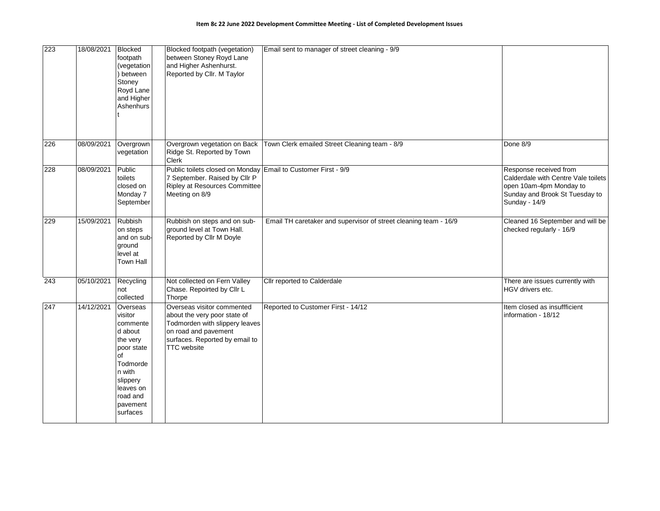| 223              | 18/08/2021 | <b>Blocked</b><br>footpath<br>(vegetation<br>between<br>Stoney<br>Royd Lane<br>and Higher<br>Ashenhurs                                                        | Blocked footpath (vegetation)<br>between Stoney Royd Lane<br>and Higher Ashenhurst.<br>Reported by Cllr. M Taylor                                                            | Email sent to manager of street cleaning - 9/9                   |                                                                                                                                             |
|------------------|------------|---------------------------------------------------------------------------------------------------------------------------------------------------------------|------------------------------------------------------------------------------------------------------------------------------------------------------------------------------|------------------------------------------------------------------|---------------------------------------------------------------------------------------------------------------------------------------------|
| 226              | 08/09/2021 | Overgrown<br>vegetation                                                                                                                                       | Overgrown vegetation on Back<br>Ridge St. Reported by Town<br>Clerk                                                                                                          | Town Clerk emailed Street Cleaning team - 8/9                    | Done 8/9                                                                                                                                    |
| 228              | 08/09/2021 | Public<br>toilets<br>closed on<br>Monday 7<br>September                                                                                                       | Public toilets closed on Monday Email to Customer First - 9/9<br>7 September. Raised by Cllr P<br><b>Ripley at Resources Committee</b><br>Meeting on 8/9                     |                                                                  | Response received from<br>Calderdale with Centre Vale toilets<br>open 10am-4pm Monday to<br>Sunday and Brook St Tuesday to<br>Sunday - 14/9 |
| 229              | 15/09/2021 | Rubbish<br>on steps<br>and on sub-<br>ground<br>level at<br>Town Hall                                                                                         | Rubbish on steps and on sub-<br>ground level at Town Hall.<br>Reported by Cllr M Doyle                                                                                       | Email TH caretaker and supervisor of street cleaning team - 16/9 | Cleaned 16 September and will be<br>checked regularly - 16/9                                                                                |
| $\overline{243}$ | 05/10/2021 | Recycling<br>not<br>collected                                                                                                                                 | Not collected on Fern Valley<br>Chase. Repoirted by Cllr L<br>Thorpe                                                                                                         | Cllr reported to Calderdale                                      | There are issues currently with<br>HGV drivers etc.                                                                                         |
| 247              | 14/12/2021 | Overseas<br>visitor<br>commente<br>d about<br>the very<br>poor state<br>of<br>Todmorde<br>n with<br>slippery<br>leaves on<br>road and<br>pavement<br>surfaces | Overseas visitor commented<br>about the very poor state of<br>Todmorden with slippery leaves<br>on road and pavement<br>surfaces. Reported by email to<br><b>TTC</b> website | Reported to Customer First - 14/12                               | Item closed as insuffficient<br>information - 18/12                                                                                         |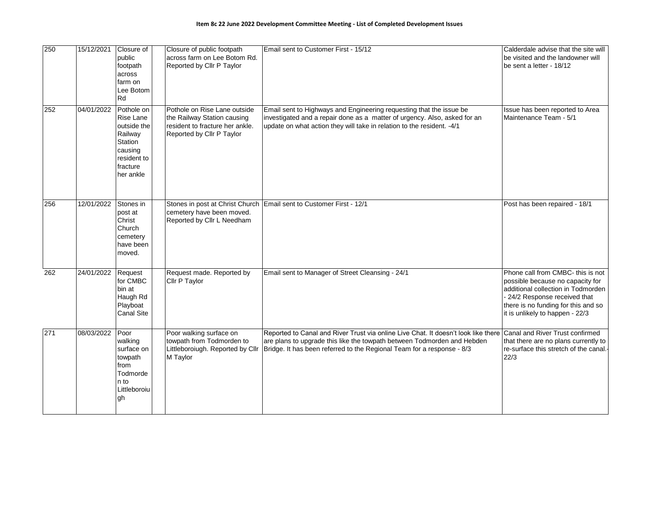| 250 | 15/12/2021 | Closure of<br>public<br>footpath<br>across<br>farm on<br>Lee Botom<br>Rd                                        | Closure of public footpath<br>across farm on Lee Botom Rd.<br>Reported by Cllr P Taylor                                     | Email sent to Customer First - 15/12                                                                                                                                                                                                                                       | Calderdale advise that the site will<br>be visited and the landowner will<br>be sent a letter - 18/12                                                                                                                |
|-----|------------|-----------------------------------------------------------------------------------------------------------------|-----------------------------------------------------------------------------------------------------------------------------|----------------------------------------------------------------------------------------------------------------------------------------------------------------------------------------------------------------------------------------------------------------------------|----------------------------------------------------------------------------------------------------------------------------------------------------------------------------------------------------------------------|
| 252 | 04/01/2022 | Pothole on<br>Rise Lane<br>outside the<br>Railway<br>Station<br>causing<br>resident to<br>fracture<br>her ankle | Pothole on Rise Lane outside<br>the Railway Station causing<br>resident to fracture her ankle.<br>Reported by Cllr P Taylor | Email sent to Highways and Engineering requesting that the issue be<br>investigated and a repair done as a matter of urgency. Also, asked for an<br>update on what action they will take in relation to the resident. - 4/1                                                | Issue has been reported to Area<br>Maintenance Team - 5/1                                                                                                                                                            |
| 256 | 12/01/2022 | Stones in<br>post at<br>Christ<br>Church<br>cemetery<br>have been<br>moved.                                     | cemetery have been moved.<br>Reported by Cllr L Needham                                                                     | Stones in post at Christ Church Email sent to Customer First - 12/1                                                                                                                                                                                                        | Post has been repaired - 18/1                                                                                                                                                                                        |
| 262 | 24/01/2022 | Request<br>for CMBC<br>bin at<br>Haugh Rd<br>Playboat<br><b>Canal Site</b>                                      | Request made. Reported by<br><b>Cllr P Taylor</b>                                                                           | Email sent to Manager of Street Cleansing - 24/1                                                                                                                                                                                                                           | Phone call from CMBC- this is not<br>possible because no capacity for<br>additional collection in Todmorden<br>24/2 Response received that<br>there is no funding for this and so<br>it is unlikely to happen - 22/3 |
| 271 | 08/03/2022 | Poor<br>walking<br>surface on<br>towpath<br>from<br>Todmorde<br>n to<br>Littleboroiu<br>gh                      | Poor walking surface on<br>towpath from Todmorden to<br>M Taylor                                                            | Reported to Canal and River Trust via online Live Chat. It doesn't look like there<br>are plans to upgrade this like the towpath between Todmorden and Hebden<br>Littleboroiugh. Reported by Cllr   Bridge. It has been referred to the Regional Team for a response - 8/3 | Canal and River Trust confirmed<br>that there are no plans currently to<br>re-surface this stretch of the canal.<br>22/3                                                                                             |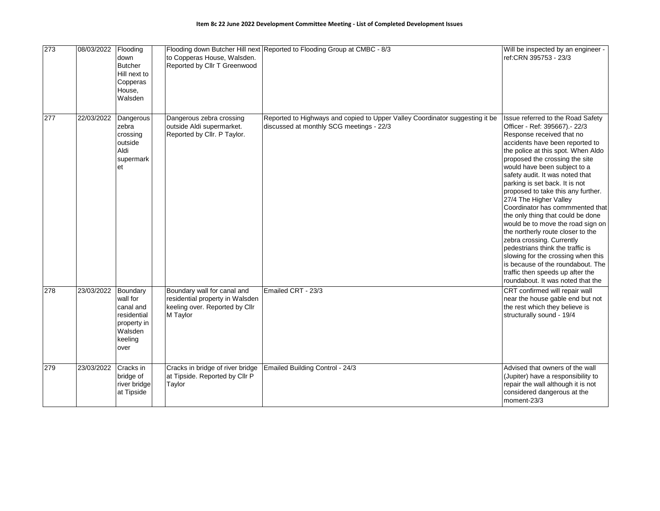| 273 | 08/03/2022 | Flooding<br>down<br><b>Butcher</b><br>Hill next to<br>Copperas<br>House,<br>Walsden           | to Copperas House, Walsden.<br>Reported by Cllr T Greenwood                                                  | Flooding down Butcher Hill next Reported to Flooding Group at CMBC - 8/3                                                 | Will be inspected by an engineer -<br>ref:CRN 395753 - 23/3                                                                                                                                                                                                                                                                                                                                                                                                                                                                                                                                                                                                                                                                                             |
|-----|------------|-----------------------------------------------------------------------------------------------|--------------------------------------------------------------------------------------------------------------|--------------------------------------------------------------------------------------------------------------------------|---------------------------------------------------------------------------------------------------------------------------------------------------------------------------------------------------------------------------------------------------------------------------------------------------------------------------------------------------------------------------------------------------------------------------------------------------------------------------------------------------------------------------------------------------------------------------------------------------------------------------------------------------------------------------------------------------------------------------------------------------------|
| 277 | 22/03/2022 | Dangerous<br>zebra<br>crossing<br>outside<br>Aldi<br>supermark<br>et                          | Dangerous zebra crossing<br>outside Aldi supermarket.<br>Reported by Cllr. P Taylor.                         | Reported to Highways and copied to Upper Valley Coordinator suggesting it be<br>discussed at monthly SCG meetings - 22/3 | Issue referred to the Road Safety<br>Officer - Ref: 395667). - 22/3<br>Response received that no<br>accidents have been reported to<br>the police at this spot. When Aldo<br>proposed the crossing the site<br>would have been subject to a<br>safety audit. It was noted that<br>parking is set back. It is not<br>proposed to take this any further.<br>27/4 The Higher Valley<br>Coordinator has commmented that<br>the only thing that could be done<br>would be to move the road sign on<br>the northerly route closer to the<br>zebra crossing. Currently<br>pedestrians think the traffic is<br>slowing for the crossing when this<br>is because of the roundabout. The<br>traffic then speeds up after the<br>roundabout. It was noted that the |
| 278 | 23/03/2022 | Boundary<br>wall for<br>canal and<br>residential<br>property in<br>Walsden<br>keeling<br>over | Boundary wall for canal and<br>residential property in Walsden<br>keeling over. Reported by Cllr<br>M Taylor | Emailed CRT - 23/3                                                                                                       | CRT confirmed will repair wall<br>near the house gable end but not<br>the rest which they believe is<br>structurally sound - 19/4                                                                                                                                                                                                                                                                                                                                                                                                                                                                                                                                                                                                                       |
| 279 | 23/03/2022 | Cracks in<br>bridge of<br>river bridge<br>at Tipside                                          | Cracks in bridge of river bridge<br>at Tipside. Reported by Cllr P<br>Taylor                                 | Emailed Building Control - 24/3                                                                                          | Advised that owners of the wall<br>(Jupiter) have a responsibility to<br>repair the wall although it is not<br>considered dangerous at the<br>moment-23/3                                                                                                                                                                                                                                                                                                                                                                                                                                                                                                                                                                                               |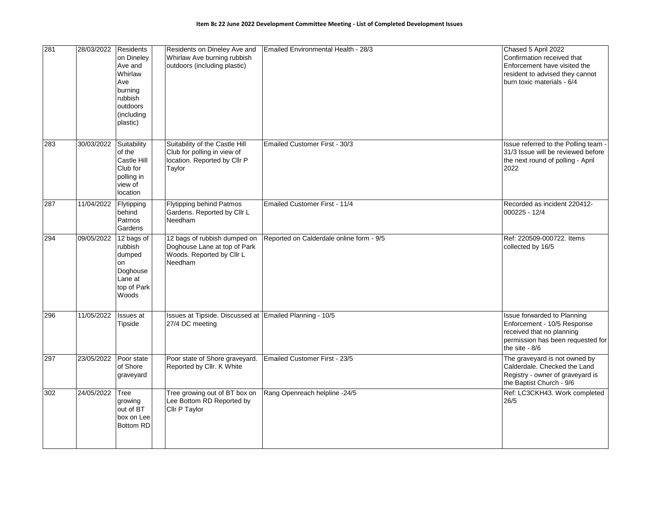| 281 | 28/03/2022 | Residents<br>on Dineley<br>Ave and<br>Whirlaw<br>Ave<br>burning<br>rubbish<br>outdoors<br>(including<br>plastic) | Residents on Dineley Ave and<br>Whirlaw Ave burning rubbish<br>outdoors (including plastic)             | Emailed Environmental Health - 28/3      | Chased 5 April 2022<br>Confirmation received that<br>Enforcement have visited the<br>resident to advised they cannot<br>burn toxic materials - 6/4 |
|-----|------------|------------------------------------------------------------------------------------------------------------------|---------------------------------------------------------------------------------------------------------|------------------------------------------|----------------------------------------------------------------------------------------------------------------------------------------------------|
| 283 | 30/03/2022 | Suitability<br>of the<br>Castle Hill<br>Club for<br>polling in<br>view of<br>location                            | Suitability of the Castle Hill<br>Club for polling in view of<br>location. Reported by Cllr P<br>Taylor | Emailed Customer First - 30/3            | Issue referred to the Polling team<br>31/3 Issue will be reviewed before<br>the next round of polling - April<br>2022                              |
| 287 | 11/04/2022 | Flytipping<br>behind<br>Patmos<br>Gardens                                                                        | <b>Flytipping behind Patmos</b><br>Gardens. Reported by Cllr L<br>Needham                               | Emailed Customer First - 11/4            | Recorded as incident 220412-<br>000225 - 12/4                                                                                                      |
| 294 | 09/05/2022 | 12 bags of<br>rubbish<br>dumped<br>on<br>Doghouse<br>Lane at<br>top of Park<br>Woods                             | 12 bags of rubbish dumped on<br>Doghouse Lane at top of Park<br>Woods. Reported by Cllr L<br>Needham    | Reported on Calderdale online form - 9/5 | Ref: 220509-000722. Items<br>collected by 16/5                                                                                                     |
| 296 | 11/05/2022 | Issues at<br>Tipside                                                                                             | Issues at Tipside. Discussed at Emailed Planning - 10/5<br>27/4 DC meeting                              |                                          | Issue forwarded to Planning<br>Enforcement - 10/5 Response<br>received that no planning<br>permission has been requested for<br>the site $-8/6$    |
| 297 | 23/05/2022 | Poor state<br>of Shore<br>graveyard                                                                              | Poor state of Shore graveyard.<br>Reported by Cllr. K White                                             | Emailed Customer First - 23/5            | The graveyard is not owned by<br>Calderdale. Checked the Land<br>Registry - owner of graveyard is<br>the Baptist Church - 9/6                      |
| 302 | 24/05/2022 | Tree<br>growing<br>out of BT<br>box on Lee<br><b>Bottom RD</b>                                                   | Tree growing out of BT box on<br>Lee Bottom RD Reported by<br>Cllr P Taylor                             | Rang Openreach helpline -24/5            | Ref: LC3CKH43. Work completed<br>26/5                                                                                                              |